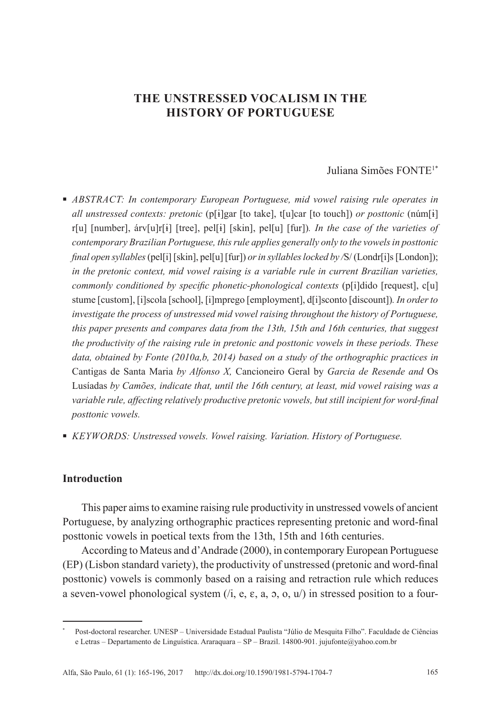## **THE UNSTRESSED VOCALISM IN THE HISTORY OF PORTUGUESE**

## Juliana Simões FONTE1\*

- *ABSTRACT: In contemporary European Portuguese, mid vowel raising rule operates in all unstressed contexts: pretonic* (p[i]gar [to take], t[u]car [to touch]) *or posttonic* (núm[i] r[u] [number],  $\frac{div}{u}$ [u]r[i] [tree], pel[i] [skin], pel[u] [fur]). In the case of the varieties of *contemporary Brazilian Portuguese, this rule applies generally only to the vowels in posttonic final open syllables* (pel[i] [skin], pel[u] [fur]) *or in syllables locked by /S/* (Londr[i]s [London]); *in the pretonic context, mid vowel raising is a variable rule in current Brazilian varieties, commonly conditioned by specific phonetic-phonological contexts* (p[i]dido [request], c[u] stume [custom], [i]scola [school], [i]mprego [employment], d[i]sconto [discount])*. In order to investigate the process of unstressed mid vowel raising throughout the history of Portuguese, this paper presents and compares data from the 13th, 15th and 16th centuries, that suggest the productivity of the raising rule in pretonic and posttonic vowels in these periods. These data, obtained by Fonte (2010a,b, 2014) based on a study of the orthographic practices in*  Cantigas de Santa Maria *by Alfonso X,* Cancioneiro Geral by *Garcia de Resende and* Os Lusíadas *by Camões, indicate that, until the 16th century, at least, mid vowel raising was a variable rule, affecting relatively productive pretonic vowels, but still incipient for word-final posttonic vowels.*
- *KEYWORDS: Unstressed vowels. Vowel raising. Variation. History of Portuguese.*

#### **Introduction**

This paper aims to examine raising rule productivity in unstressed vowels of ancient Portuguese, by analyzing orthographic practices representing pretonic and word-final posttonic vowels in poetical texts from the 13th, 15th and 16th centuries.

According to Mateus and d'Andrade (2000), in contemporary European Portuguese (EP) (Lisbon standard variety), the productivity of unstressed (pretonic and word-final posttonic) vowels is commonly based on a raising and retraction rule which reduces a seven-vowel phonological system  $(i, e, \varepsilon, a, 0, o, u)$  in stressed position to a four-

<sup>\*</sup> Post-doctoral researcher. UNESP – Universidade Estadual Paulista "Júlio de Mesquita Filho". Faculdade de Ciências e Letras – Departamento de Linguística. Araraquara – SP – Brazil. 14800-901. jujufonte@yahoo.com.br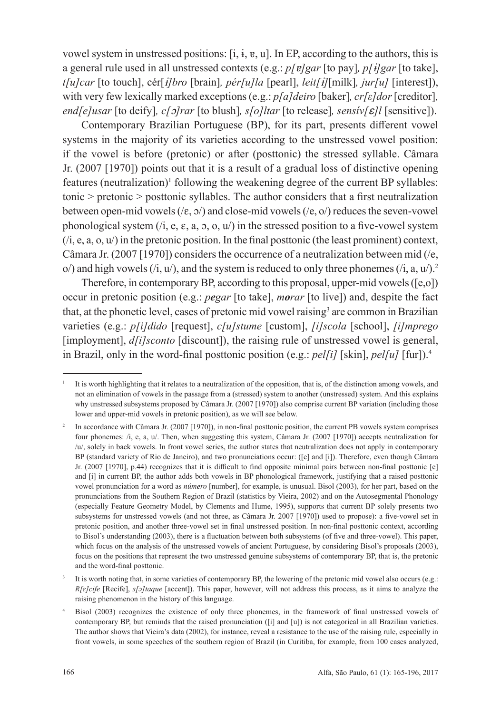vowel system in unstressed positions:  $[i, i, e, u]$ . In EP, according to the authors, this is a general rule used in all unstressed contexts (e.g.: *p[]gar* [to pay]*, p[]gar* [to take], *t[u]car* [to touch], cér[*]bro* [brain]*, pér[u]la* [pearl], *leit[]*[milk]*, jur[u]* [interest]), with very few lexically marked exceptions (e.g.: *p[a]deiro* [baker]*, cr[ε]dor* [creditor]*, end[e]usar* [to deify]*, c[]rar* [to blush]*, s[o]ltar* [to release]*, sensív[*E*]l* [sensitive]).

Contemporary Brazilian Portuguese (BP), for its part, presents different vowel systems in the majority of its varieties according to the unstressed vowel position: if the vowel is before (pretonic) or after (posttonic) the stressed syllable. Câmara Jr. (2007 [1970]) points out that it is a result of a gradual loss of distinctive opening features (neutralization)<sup>1</sup> following the weakening degree of the current BP syllables: tonic > pretonic > posttonic syllables. The author considers that a first neutralization between open-mid vowels ( $\ell \in \mathcal{D}$ ) and close-mid vowels ( $\ell \in \mathcal{D}$ ) reduces the seven-vowel phonological system  $(i, e, \varepsilon, a, 5, o, u)$  in the stressed position to a five-vowel system  $(i, e, a, o, u)$  in the pretonic position. In the final posttonic (the least prominent) context, Câmara Jr. (2007 [1970]) considers the occurrence of a neutralization between mid ( $/e$ , o/) and high vowels  $(i, u)$ , and the system is reduced to only three phonemes  $(i, a, u)$ .

Therefore, in contemporary BP, according to this proposal, upper-mid vowels ([e,o]) occur in pretonic position (e.g.: *pegar* [to take], *morar* [to live]) and, despite the fact that, at the phonetic level, cases of pretonic mid vowel raising<sup>3</sup> are common in Brazilian varieties (e.g.: *p[i]dido* [request], *c[u]stume* [custom], *[i]scola* [school], *[i]mprego*  [imployment],  $d[i]scont$  [discount]), the raising rule of unstressed vowel is general, in Brazil, only in the word-final posttonic position (e.g.: *pel[i]* [skin], *pel[u]* [fur]).<sup>4</sup>

<sup>1</sup> It is worth highlighting that it relates to a neutralization of the opposition, that is, of the distinction among vowels, and not an elimination of vowels in the passage from a (stressed) system to another (unstressed) system. And this explains why unstressed subsystems proposed by Câmara Jr. (2007 [1970]) also comprise current BP variation (including those lower and upper-mid vowels in pretonic position), as we will see below.

<sup>&</sup>lt;sup>2</sup> In accordance with Câmara Jr. (2007 [1970]), in non-final posttonic position, the current PB vowels system comprises four phonemes: /i, e, a, u/. Then, when suggesting this system, Câmara Jr. (2007 [1970]) accepts neutralization for /u/, solely in back vowels. In front vowel series, the author states that neutralization does not apply in contemporary BP (standard variety of Rio de Janeiro), and two pronunciations occur: ([e] and [i]). Therefore, even though Câmara Jr. (2007 [1970], p.44) recognizes that it is difficult to find opposite minimal pairs between non-final posttonic [e] and [i] in current BP, the author adds both vowels in BP phonological framework, justifying that a raised posttonic vowel pronunciation for a word as *número* [number], for example, is unusual. Bisol (2003), for her part, based on the pronunciations from the Southern Region of Brazil (statistics by Vieira, 2002) and on the Autosegmental Phonology (especially Feature Geometry Model, by Clements and Hume, 1995), supports that current BP solely presents two subsystems for unstressed vowels (and not three, as Câmara Jr. 2007 [1970]) used to propose): a five-vowel set in pretonic position, and another three-vowel set in final unstressed position. In non-final posttonic context, according to Bisol's understanding (2003), there is a fluctuation between both subsystems (of five and three-vowel). This paper, which focus on the analysis of the unstressed vowels of ancient Portuguese, by considering Bisol's proposals (2003), focus on the positions that represent the two unstressed genuine subsystems of contemporary BP, that is, the pretonic and the word-final posttonic.

It is worth noting that, in some varieties of contemporary BP, the lowering of the pretonic mid vowel also occurs (e.g.: *R[ɛ]cife* [Recife], *s[ɔ]taque* [accent]). This paper, however, will not address this process, as it aims to analyze the raising phenomenon in the history of this language.

<sup>4</sup> Bisol (2003) recognizes the existence of only three phonemes, in the framework of final unstressed vowels of contemporary BP, but reminds that the raised pronunciation ([i] and [u]) is not categorical in all Brazilian varieties. The author shows that Vieira's data (2002), for instance, reveal a resistance to the use of the raising rule, especially in front vowels, in some speeches of the southern region of Brazil (in Curitiba, for example, from 100 cases analyzed,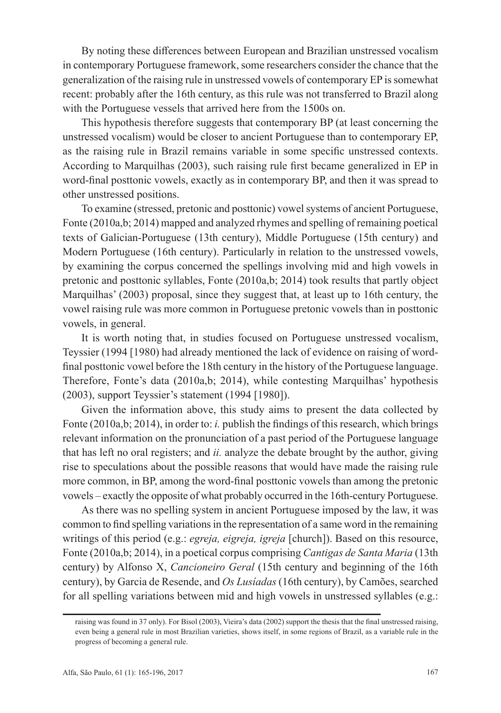By noting these differences between European and Brazilian unstressed vocalism in contemporary Portuguese framework, some researchers consider the chance that the generalization of the raising rule in unstressed vowels of contemporary EP is somewhat recent: probably after the 16th century, as this rule was not transferred to Brazil along with the Portuguese vessels that arrived here from the 1500s on.

This hypothesis therefore suggests that contemporary BP (at least concerning the unstressed vocalism) would be closer to ancient Portuguese than to contemporary EP, as the raising rule in Brazil remains variable in some specific unstressed contexts. According to Marquilhas (2003), such raising rule first became generalized in EP in word-final posttonic vowels, exactly as in contemporary BP, and then it was spread to other unstressed positions.

To examine (stressed, pretonic and posttonic) vowel systems of ancient Portuguese, Fonte (2010a,b; 2014) mapped and analyzed rhymes and spelling of remaining poetical texts of Galician-Portuguese (13th century), Middle Portuguese (15th century) and Modern Portuguese (16th century). Particularly in relation to the unstressed vowels, by examining the corpus concerned the spellings involving mid and high vowels in pretonic and posttonic syllables, Fonte (2010a,b; 2014) took results that partly object Marquilhas' (2003) proposal, since they suggest that, at least up to 16th century, the vowel raising rule was more common in Portuguese pretonic vowels than in posttonic vowels, in general.

It is worth noting that, in studies focused on Portuguese unstressed vocalism, Teyssier (1994 [1980) had already mentioned the lack of evidence on raising of wordfinal posttonic vowel before the 18th century in the history of the Portuguese language. Therefore, Fonte's data (2010a,b; 2014), while contesting Marquilhas' hypothesis (2003), support Teyssier's statement (1994 [1980]).

Given the information above, this study aims to present the data collected by Fonte (2010a,b; 2014), in order to: *i.* publish the findings of this research, which brings relevant information on the pronunciation of a past period of the Portuguese language that has left no oral registers; and *ii.* analyze the debate brought by the author, giving rise to speculations about the possible reasons that would have made the raising rule more common, in BP, among the word-final posttonic vowels than among the pretonic vowels – exactly the opposite of what probably occurred in the 16th-century Portuguese.

As there was no spelling system in ancient Portuguese imposed by the law, it was common to find spelling variations in the representation of a same word in the remaining writings of this period (e.g.: *egreja, eigreja, igreja* [church]). Based on this resource, Fonte (2010a,b; 2014), in a poetical corpus comprising *Cantigas de Santa Maria* (13th century) by Alfonso X, *Cancioneiro Geral* (15th century and beginning of the 16th century), by Garcia de Resende, and *Os Lusíadas* (16th century), by Camões, searched for all spelling variations between mid and high vowels in unstressed syllables (e.g.:

raising was found in 37 only). For Bisol (2003), Vieira's data (2002) support the thesis that the final unstressed raising, even being a general rule in most Brazilian varieties, shows itself, in some regions of Brazil, as a variable rule in the progress of becoming a general rule.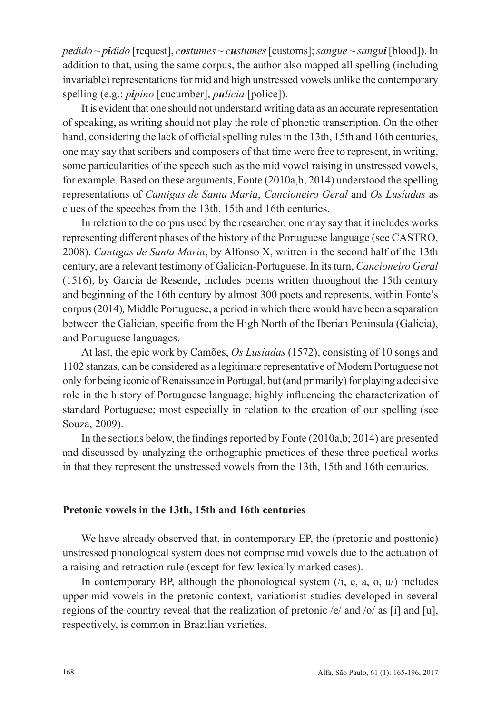*pedido* ~ *pidido* [request], *costumes* ~ *custumes* [customs]; *sangue* ~ *sangui* [blood]). In addition to that, using the same corpus, the author also mapped all spelling (including invariable) representations for mid and high unstressed vowels unlike the contemporary spelling (e.g.: *pipino* [cucumber], *pulicia* [police]).

It is evident that one should not understand writing data as an accurate representation of speaking, as writing should not play the role of phonetic transcription. On the other hand, considering the lack of official spelling rules in the 13th, 15th and 16th centuries, one may say that scribers and composers of that time were free to represent, in writing, some particularities of the speech such as the mid vowel raising in unstressed vowels, for example. Based on these arguments, Fonte (2010a,b; 2014) understood the spelling representations of *Cantigas de Santa Maria*, *Cancioneiro Geral* and *Os Lusíadas* as clues of the speeches from the 13th, 15th and 16th centuries.

In relation to the corpus used by the researcher, one may say that it includes works representing different phases of the history of the Portuguese language (see CASTRO, 2008). *Cantigas de Santa Maria*, by Alfonso X, written in the second half of the 13th century, are a relevant testimony of Galician-Portuguese. In its turn, *Cancioneiro Geral*  (1516), by Garcia de Resende, includes poems written throughout the 15th century and beginning of the 16th century by almost 300 poets and represents, within Fonte's corpus (2014)*,* Middle Portuguese, a period in which there would have been a separation between the Galician, specific from the High North of the Iberian Peninsula (Galicia), and Portuguese languages.

At last, the epic work by Camões, *Os Lusíadas* (1572), consisting of 10 songs and 1102 stanzas, can be considered as a legitimate representative of Modern Portuguese not only for being iconic of Renaissance in Portugal, but (and primarily) for playing a decisive role in the history of Portuguese language, highly influencing the characterization of standard Portuguese; most especially in relation to the creation of our spelling (see Souza, 2009).

In the sections below, the findings reported by Fonte (2010a,b; 2014) are presented and discussed by analyzing the orthographic practices of these three poetical works in that they represent the unstressed vowels from the 13th, 15th and 16th centuries.

#### **Pretonic vowels in the 13th, 15th and 16th centuries**

We have already observed that, in contemporary EP, the (pretonic and posttonic) unstressed phonological system does not comprise mid vowels due to the actuation of a raising and retraction rule (except for few lexically marked cases).

In contemporary BP, although the phonological system  $(i, e, a, o, u')$  includes upper-mid vowels in the pretonic context, variationist studies developed in several regions of the country reveal that the realization of pretonic /e/ and /o/ as [i] and [u], respectively, is common in Brazilian varieties.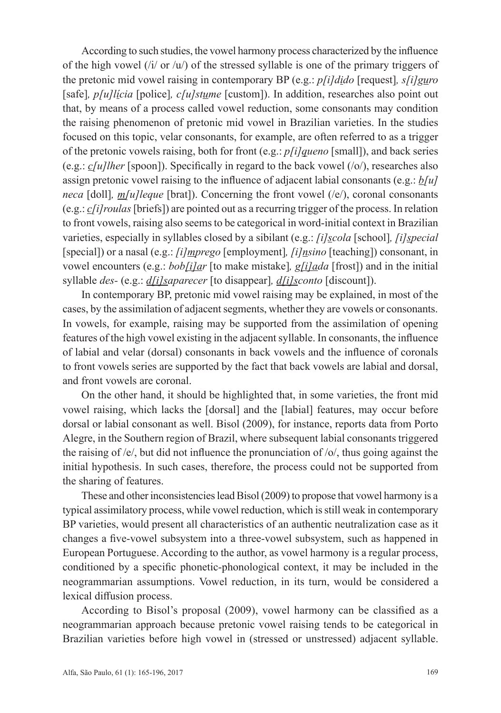According to such studies, the vowel harmony process characterized by the influence of the high vowel ( $\frac{i}{i}$  or  $\frac{i}{u}$ ) of the stressed syllable is one of the primary triggers of the pretonic mid vowel raising in contemporary BP (e.g.: *p[i]dido* [request]*, s[i]guro*  [safe]*, p[u]lícia* [police]*, c[u]stume* [custom]). In addition, researches also point out that, by means of a process called vowel reduction, some consonants may condition the raising phenomenon of pretonic mid vowel in Brazilian varieties. In the studies focused on this topic, velar consonants, for example, are often referred to as a trigger of the pretonic vowels raising, both for front (e.g.: *p[i]queno* [small]), and back series (e.g.: *c[u]lher* [spoon]). Specifically in regard to the back vowel (/o/), researches also assign pretonic vowel raising to the influence of adjacent labial consonants (e.g.: *b[u] neca* [doll]*, m[u]leque* [brat]). Concerning the front vowel (/e/), coronal consonants (e.g.: *c[i]roulas* [briefs]) are pointed out as a recurring trigger of the process. In relation to front vowels, raising also seems to be categorical in word-initial context in Brazilian varieties, especially in syllables closed by a sibilant (e.g.: *[i]scola* [school]*, [i]special*  [special]) or a nasal (e.g.: *[i]mprego* [employment]*, [i]nsino* [teaching]) consonant, in vowel encounters (e.g.: *bob[i]ar* [to make mistake]*, g[i]ada* [frost]) and in the initial syllable *des-* (e.g.: *d[i]saparecer* [to disappear]*, d[i]sconto* [discount]).

In contemporary BP, pretonic mid vowel raising may be explained, in most of the cases, by the assimilation of adjacent segments, whether they are vowels or consonants. In vowels, for example, raising may be supported from the assimilation of opening features of the high vowel existing in the adjacent syllable. In consonants, the influence of labial and velar (dorsal) consonants in back vowels and the influence of coronals to front vowels series are supported by the fact that back vowels are labial and dorsal, and front vowels are coronal.

On the other hand, it should be highlighted that, in some varieties, the front mid vowel raising, which lacks the [dorsal] and the [labial] features, may occur before dorsal or labial consonant as well. Bisol (2009), for instance, reports data from Porto Alegre, in the Southern region of Brazil, where subsequent labial consonants triggered the raising of /e/, but did not influence the pronunciation of /o/, thus going against the initial hypothesis. In such cases, therefore, the process could not be supported from the sharing of features.

These and other inconsistencies lead Bisol (2009) to propose that vowel harmony is a typical assimilatory process, while vowel reduction, which is still weak in contemporary BP varieties, would present all characteristics of an authentic neutralization case as it changes a five-vowel subsystem into a three-vowel subsystem, such as happened in European Portuguese. According to the author, as vowel harmony is a regular process, conditioned by a specific phonetic-phonological context, it may be included in the neogrammarian assumptions. Vowel reduction, in its turn, would be considered a lexical diffusion process.

According to Bisol's proposal (2009), vowel harmony can be classified as a neogrammarian approach because pretonic vowel raising tends to be categorical in Brazilian varieties before high vowel in (stressed or unstressed) adjacent syllable.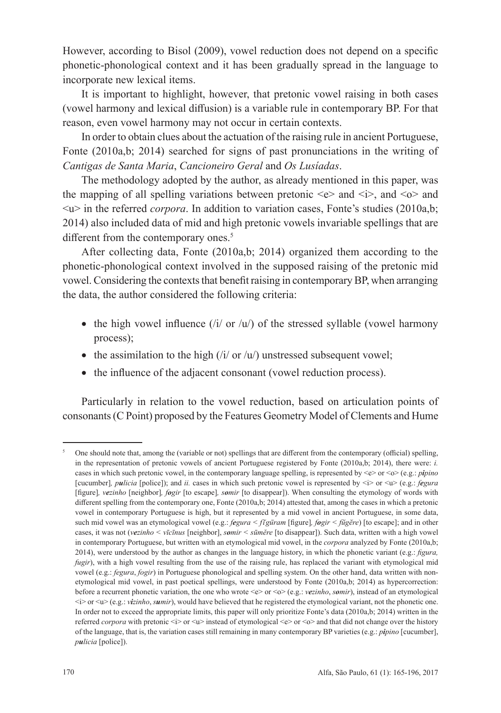However, according to Bisol (2009), vowel reduction does not depend on a specific phonetic-phonological context and it has been gradually spread in the language to incorporate new lexical items.

It is important to highlight, however, that pretonic vowel raising in both cases (vowel harmony and lexical diffusion) is a variable rule in contemporary BP. For that reason, even vowel harmony may not occur in certain contexts.

In order to obtain clues about the actuation of the raising rule in ancient Portuguese, Fonte (2010a,b; 2014) searched for signs of past pronunciations in the writing of *Cantigas de Santa Maria*, *Cancioneiro Geral* and *Os Lusíadas*.

The methodology adopted by the author, as already mentioned in this paper, was the mapping of all spelling variations between pretonic  $\leq e$  and  $\leq i$ , and  $\leq o$  and <u> in the referred *corpora*. In addition to variation cases, Fonte's studies (2010a,b; 2014) also included data of mid and high pretonic vowels invariable spellings that are different from the contemporary ones.<sup>5</sup>

After collecting data, Fonte (2010a,b; 2014) organized them according to the phonetic-phonological context involved in the supposed raising of the pretonic mid vowel. Considering the contexts that benefit raising in contemporary BP, when arranging the data, the author considered the following criteria:

- the high vowel influence  $(i/$  or  $\langle u \rangle$  of the stressed syllable (vowel harmony process);
- the assimilation to the high  $(i/\text{ or }/u)$  unstressed subsequent vowel;
- the influence of the adjacent consonant (vowel reduction process).

Particularly in relation to the vowel reduction, based on articulation points of consonants (C Point) proposed by the Features Geometry Model of Clements and Hume

<sup>&</sup>lt;sup>5</sup> One should note that, among the (variable or not) spellings that are different from the contemporary (official) spelling, in the representation of pretonic vowels of ancient Portuguese registered by Fonte (2010a,b; 2014), there were: *i.* cases in which such pretonic vowel, in the contemporary language spelling, is represented by  $\langle e \rangle$  or  $\langle o \rangle$  (e.g.: *pipino* [cucumber]*, pulicia* [police]); and *ii.* cases in which such pretonic vowel is represented by <i> or <u> (e.g.: *fegura*  [figure]*, vezinho* [neighbor]*, fogir* [to escape]*, somir* [to disappear]). When consulting the etymology of words with different spelling from the contemporary one, Fonte (2010a,b; 2014) attested that, among the cases in which a pretonic vowel in contemporary Portuguese is high, but it represented by a mid vowel in ancient Portuguese, in some data, such mid vowel was an etymological vowel (e.g.: *fegura* < *figūram* [figure], *fogir* < *fugere*) [to escape]; and in other cases, it was not (*vezinho < vīcīnus* [neighbor], *somir < sūmĕre* [to disappear]). Such data, written with a high vowel in contemporary Portuguese, but written with an etymological mid vowel, in the *corpora* analyzed by Fonte (2010a,b; 2014), were understood by the author as changes in the language history, in which the phonetic variant (e.g.: *figura, fugir*), with a high vowel resulting from the use of the raising rule, has replaced the variant with etymological mid vowel (e.g.: *fegura*, *fogir*) in Portuguese phonological and spelling system. On the other hand, data written with nonetymological mid vowel, in past poetical spellings, were understood by Fonte (2010a,b; 2014) as hypercorrection: before a recurrent phonetic variation, the one who wrote <e> or <o> (e.g.: *vezinho*, *somir*), instead of an etymological <i> or <u> (e.g.: *vizinho*, *sumir*), would have believed that he registered the etymological variant, not the phonetic one. In order not to exceed the appropriate limits, this paper will only prioritize Fonte's data (2010a,b; 2014) written in the referred *corpora* with pretonic  $\langle v \rangle$  or  $\langle v \rangle$  instead of etymological  $\langle v \rangle$  or  $\langle v \rangle$  and that did not change over the history of the language, that is, the variation cases still remaining in many contemporary BP varieties (e.g.: *pipino* [cucumber], *pulicia* [police]).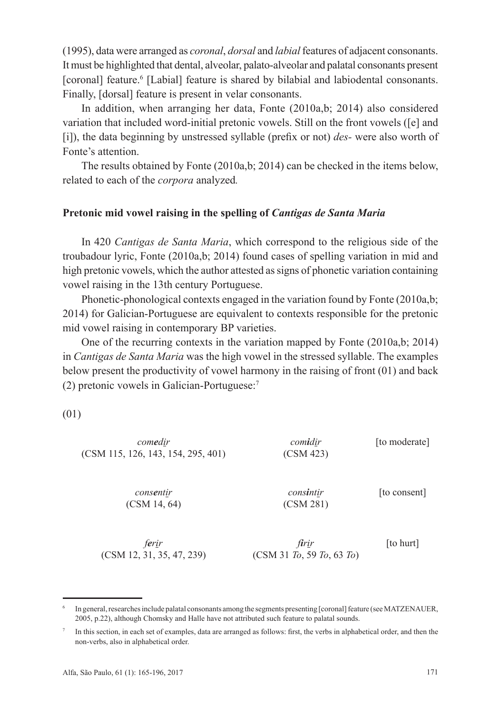(1995), data were arranged as *coronal*, *dorsal* and *labial* features of adjacent consonants. It must be highlighted that dental, alveolar, palato-alveolar and palatal consonants present [coronal] feature.<sup>6</sup> [Labial] feature is shared by bilabial and labiodental consonants. Finally, [dorsal] feature is present in velar consonants.

In addition, when arranging her data, Fonte (2010a,b; 2014) also considered variation that included word-initial pretonic vowels. Still on the front vowels ([e] and [i]), the data beginning by unstressed syllable (prefix or not) *des-* were also worth of Fonte's attention.

The results obtained by Fonte (2010a,b; 2014) can be checked in the items below, related to each of the *corpora* analyzed*.*

### **Pretonic mid vowel raising in the spelling of** *Cantigas de Santa Maria*

In 420 *Cantigas de Santa Maria*, which correspond to the religious side of the troubadour lyric, Fonte (2010a,b; 2014) found cases of spelling variation in mid and high pretonic vowels, which the author attested as signs of phonetic variation containing vowel raising in the 13th century Portuguese.

Phonetic-phonological contexts engaged in the variation found by Fonte (2010a,b; 2014) for Galician-Portuguese are equivalent to contexts responsible for the pretonic mid vowel raising in contemporary BP varieties.

One of the recurring contexts in the variation mapped by Fonte (2010a,b; 2014) in *Cantigas de Santa Maria* was the high vowel in the stressed syllable. The examples below present the productivity of vowel harmony in the raising of front (01) and back (2) pretonic vowels in Galician-Portuguese:7

(01)

*comedir* (CSM 115, 126, 143, 154, 295, 401) *comidir*  (CSM 423) [to moderate] *consentir* (CSM 14, 64) *consintir* (CSM 281) [to consent] *ferir* (CSM 12, 31, 35, 47, 239) *firir* (CSM 31 *To*, 59 *To*, 63 *To*) [to hurt]

<sup>6</sup> In general, researches include palatal consonants among the segments presenting [coronal] feature (see MATZENAUER, 2005, p.22), although Chomsky and Halle have not attributed such feature to palatal sounds.

<sup>7</sup> In this section, in each set of examples, data are arranged as follows: first, the verbs in alphabetical order, and then the non-verbs, also in alphabetical order.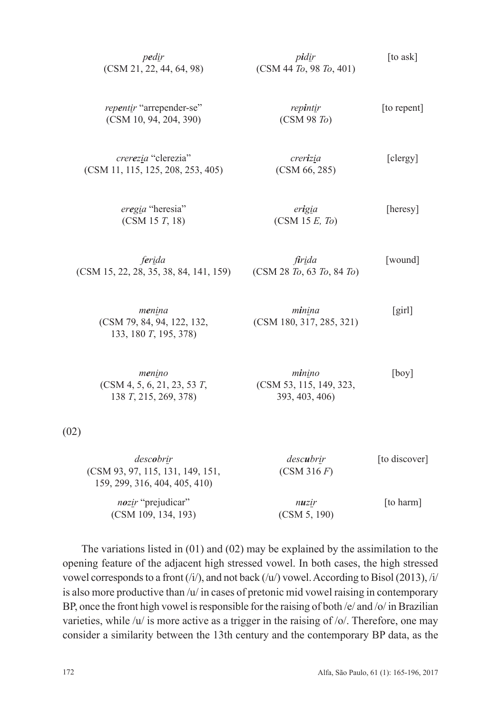| pedir<br>(CSM 21, 22, 44, 64, 98)                                              | pidir<br>$(CSM 44 T0, 98 T0, 401)$                  | [to ask]                   |
|--------------------------------------------------------------------------------|-----------------------------------------------------|----------------------------|
| repentir "arrepender-se"<br>(CSM 10, 94, 204, 390)                             | repintir<br>(CSM 98 To)                             | [to repent]                |
| crerezia "clerezia"<br>(CSM 11, 115, 125, 208, 253, 405)                       | crerizia<br>(CSM 66, 285)                           | [clergy]                   |
| eregia "heresia"<br>(CSM 15 T, 18)                                             | erigia<br>(CSM 15 E, To)                            | [heresy]                   |
| ferida<br>$(CSM 15, 22, 28, 35, 38, 84, 141, 159)$                             | firida<br>(CSM 28 To, 63 To, 84 To)                 | [wound]                    |
| menina<br>(CSM 79, 84, 94, 122, 132,<br>133, 180 T, 195, 378)                  | minina<br>(CSM 180, 317, 285, 321)                  | $\left[\text{girl}\right]$ |
| menino<br>(CSM 4, 5, 6, 21, 23, 53 T,<br>138 T, 215, 269, 378)                 | minino<br>(CSM 53, 115, 149, 323,<br>393, 403, 406) | [boy]                      |
| .)                                                                             |                                                     |                            |
| descobrir<br>(CSM 93, 97, 115, 131, 149, 151,<br>159, 299, 316, 404, 405, 410) | descubrir<br>(CSM 316 F)                            | [to discover]              |
| nozir "prejudicar"<br>(CSM 109, 134, 193)                                      | nuzir<br>(CSM 5, 190)                               | [to harm]                  |

The variations listed in (01) and (02) may be explained by the assimilation to the opening feature of the adjacent high stressed vowel. In both cases, the high stressed vowel corresponds to a front (/i/), and not back (/u/) vowel. According to Bisol (2013), /i/ is also more productive than /u/ in cases of pretonic mid vowel raising in contemporary BP, once the front high vowel is responsible for the raising of both /e/ and /o/ in Brazilian varieties, while /u/ is more active as a trigger in the raising of /o/. Therefore, one may consider a similarity between the 13th century and the contemporary BP data, as the

(02)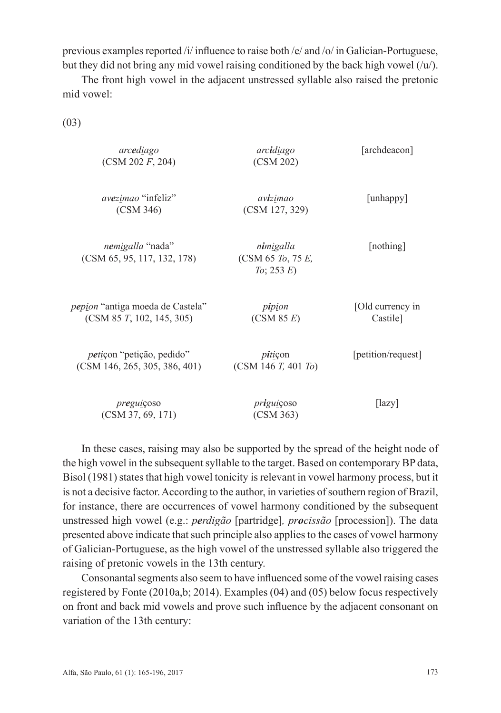previous examples reported /i/ influence to raise both /e/ and /o/ in Galician-Portuguese, but they did not bring any mid vowel raising conditioned by the back high vowel  $($ / $u$  $)$ .

The front high vowel in the adjacent unstressed syllable also raised the pretonic mid vowel:

(03)

| arcediago<br>(CSM 202 F, 204)                                        | arcidiago<br>(CSM 202)                             | [archdeacon]                 |
|----------------------------------------------------------------------|----------------------------------------------------|------------------------------|
| <i>avezimao</i> "infeliz"<br>(CSM 346)                               | avizimao<br>(CSM 127, 329)                         | [unhappy]                    |
| <i>nemigalla</i> "nada"<br>(CSM 65, 95, 117, 132, 178)               | nimigalla<br>(CSM 65 To, 75 E,<br>To: 253 E        | [nothing]                    |
| <i>pepion</i> "antiga moeda de Castela"<br>(CSM 85 T, 102, 145, 305) | pipion<br>(CSM 85 E)                               | [Old currency in<br>Castile] |
| <i>peticon</i> "petição, pedido"<br>(CSM 146, 265, 305, 386, 401)    | <i>piticon</i><br>(CSM 146 T, 401 T <sub>o</sub> ) | [petition/request]           |
| <i>preguiçoso</i><br>(CSM 37, 69, 171)                               | <i>priguiçoso</i><br>(CSM 363)                     | lazy                         |

In these cases, raising may also be supported by the spread of the height node of the high vowel in the subsequent syllable to the target. Based on contemporary BP data, Bisol (1981) states that high vowel tonicity is relevant in vowel harmony process, but it is not a decisive factor. According to the author, in varieties of southern region of Brazil, for instance, there are occurrences of vowel harmony conditioned by the subsequent unstressed high vowel (e.g.: *perdigão* [partridge]*, procissão* [procession]). The data presented above indicate that such principle also applies to the cases of vowel harmony of Galician-Portuguese, as the high vowel of the unstressed syllable also triggered the raising of pretonic vowels in the 13th century.

Consonantal segments also seem to have influenced some of the vowel raising cases registered by Fonte (2010a,b; 2014). Examples (04) and (05) below focus respectively on front and back mid vowels and prove such influence by the adjacent consonant on variation of the 13th century: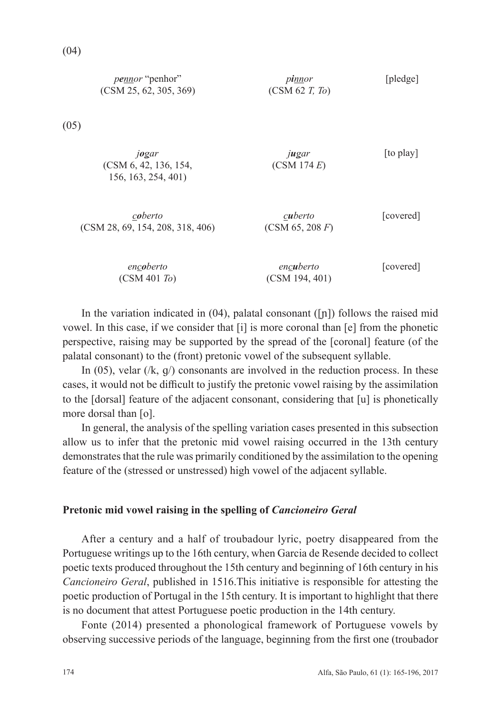*pennor* "penhor" (CSM 25, 62, 305, 369) *pinnor* (CSM 62 *T, To*) [pledge] *jogar* (CSM 6, 42, 136, 154, 156, 163, 254, 401) *jugar* (CSM 174 *E*) [to play] *coberto* (CSM 28, 69, 154, 208, 318, 406) *cuberto* (CSM 65, 208 *F*) [covered]

> *encoberto* (CSM 401 *To*) *encuberto* (CSM 194, 401) [covered]

In the variation indicated in  $(04)$ , palatal consonant  $([n])$  follows the raised mid vowel. In this case, if we consider that [i] is more coronal than [e] from the phonetic perspective, raising may be supported by the spread of the [coronal] feature (of the palatal consonant) to the (front) pretonic vowel of the subsequent syllable.

In (05), velar  $/(k, q)$  consonants are involved in the reduction process. In these cases, it would not be difficult to justify the pretonic vowel raising by the assimilation to the [dorsal] feature of the adjacent consonant, considering that [u] is phonetically more dorsal than [o].

In general, the analysis of the spelling variation cases presented in this subsection allow us to infer that the pretonic mid vowel raising occurred in the 13th century demonstrates that the rule was primarily conditioned by the assimilation to the opening feature of the (stressed or unstressed) high vowel of the adjacent syllable.

#### **Pretonic mid vowel raising in the spelling of** *Cancioneiro Geral*

After a century and a half of troubadour lyric, poetry disappeared from the Portuguese writings up to the 16th century, when Garcia de Resende decided to collect poetic texts produced throughout the 15th century and beginning of 16th century in his *Cancioneiro Geral*, published in 1516.This initiative is responsible for attesting the poetic production of Portugal in the 15th century. It is important to highlight that there is no document that attest Portuguese poetic production in the 14th century.

Fonte (2014) presented a phonological framework of Portuguese vowels by observing successive periods of the language, beginning from the first one (troubador

(04)

(05)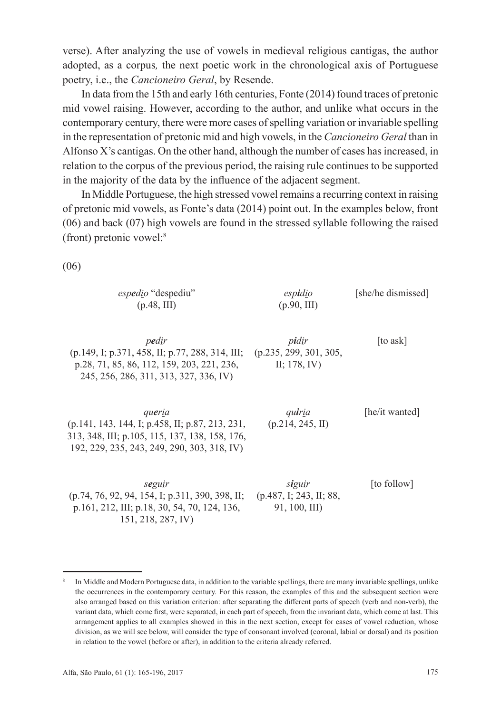verse). After analyzing the use of vowels in medieval religious cantigas, the author adopted, as a corpus*,* the next poetic work in the chronological axis of Portuguese poetry, i.e., the *Cancioneiro Geral*, by Resende.

In data from the 15th and early 16th centuries, Fonte (2014) found traces of pretonic mid vowel raising. However, according to the author, and unlike what occurs in the contemporary century, there were more cases of spelling variation or invariable spelling in the representation of pretonic mid and high vowels, in the *Cancioneiro Geral* than in Alfonso X's cantigas. On the other hand, although the number of cases has increased, in relation to the corpus of the previous period, the raising rule continues to be supported in the majority of the data by the influence of the adjacent segment.

In Middle Portuguese, the high stressed vowel remains a recurring context in raising of pretonic mid vowels, as Fonte's data (2014) point out. In the examples below, front (06) and back (07) high vowels are found in the stressed syllable following the raised (front) pretonic vowel:8

(06)

| <i>espedio</i> "despediu"<br>(p.48, III)                                                                                                                     | espidio<br>(p.90, III)                             | [she/he dismissed] |
|--------------------------------------------------------------------------------------------------------------------------------------------------------------|----------------------------------------------------|--------------------|
| pedir<br>$(p.149, I; p.371, 458, II; p.77, 288, 314, III;$<br>p.28, 71, 85, 86, 112, 159, 203, 221, 236,<br>245, 256, 286, 311, 313, 327, 336, IV)           | pidir<br>(p.235, 299, 301, 305,<br>II; $178$ , IV) | [to ask]           |
| queria<br>$(p.141, 143, 144, I; p.458, II; p.87, 213, 231,$<br>313, 348, III; p.105, 115, 137, 138, 158, 176,<br>192, 229, 235, 243, 249, 290, 303, 318, IV) | quiria<br>$(p.214, 245, \text{II})$                | [he/it wanted]     |
| seguir<br>$(p.74, 76, 92, 94, 154, I; p.311, 390, 398, II;$<br>p.161, 212, III; p.18, 30, 54, 70, 124, 136,<br>151, 218, 287, IV)                            | siguir<br>(p.487, I; 243, II; 88,<br>91, 100, III) | [to follow]        |

<sup>8</sup> In Middle and Modern Portuguese data, in addition to the variable spellings, there are many invariable spellings, unlike the occurrences in the contemporary century. For this reason, the examples of this and the subsequent section were also arranged based on this variation criterion: after separating the different parts of speech (verb and non-verb), the variant data, which come first, were separated, in each part of speech, from the invariant data, which come at last. This arrangement applies to all examples showed in this in the next section, except for cases of vowel reduction, whose division, as we will see below, will consider the type of consonant involved (coronal, labial or dorsal) and its position in relation to the vowel (before or after), in addition to the criteria already referred.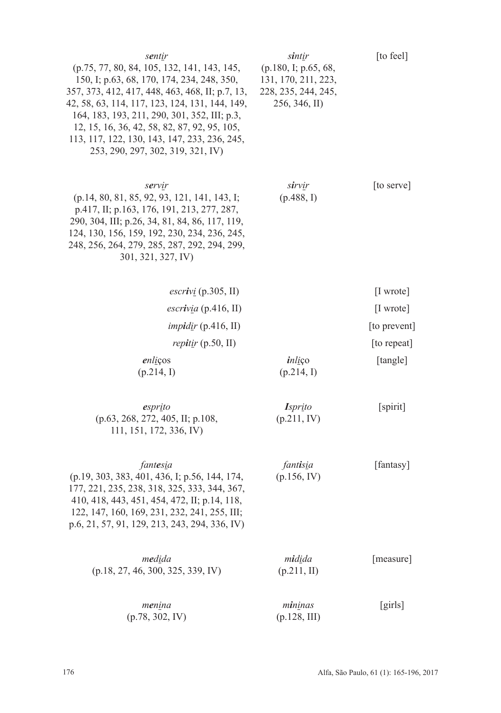| sentir<br>(p.75, 77, 80, 84, 105, 132, 141, 143, 145,<br>150, I; p.63, 68, 170, 174, 234, 248, 350,<br>357, 373, 412, 417, 448, 463, 468, II; p.7, 13,<br>42, 58, 63, 114, 117, 123, 124, 131, 144, 149,<br>164, 183, 193, 211, 290, 301, 352, III; p.3,<br>12, 15, 16, 36, 42, 58, 82, 87, 92, 95, 105,<br>113, 117, 122, 130, 143, 147, 233, 236, 245,<br>253, 290, 297, 302, 319, 321, IV) | sintir<br>(p.180, 1; p.65, 68,<br>131, 170, 211, 223,<br>228, 235, 244, 245,<br>256, 346, II) | [to feel]                   |
|-----------------------------------------------------------------------------------------------------------------------------------------------------------------------------------------------------------------------------------------------------------------------------------------------------------------------------------------------------------------------------------------------|-----------------------------------------------------------------------------------------------|-----------------------------|
| servir<br>(p.14, 80, 81, 85, 92, 93, 121, 141, 143, I;<br>p.417, II; p.163, 176, 191, 213, 277, 287,<br>290, 304, III; p.26, 34, 81, 84, 86, 117, 119,<br>124, 130, 156, 159, 192, 230, 234, 236, 245,<br>248, 256, 264, 279, 285, 287, 292, 294, 299,<br>301, 321, 327, IV)                                                                                                                  | sirvir<br>(p.488, I)                                                                          | [to serve]                  |
| <i>escrivi</i> (p.305, II)                                                                                                                                                                                                                                                                                                                                                                    |                                                                                               | [I wrote]                   |
| <i>escrivia</i> (p.416, II)                                                                                                                                                                                                                                                                                                                                                                   |                                                                                               | [I wrote]                   |
| <i>impid<u>i</u>r</i> (p.416, II)                                                                                                                                                                                                                                                                                                                                                             |                                                                                               | [to prevent]                |
| repitir (p.50, II)                                                                                                                                                                                                                                                                                                                                                                            |                                                                                               | [to repeat]                 |
| enliços<br>(p.214, I)                                                                                                                                                                                                                                                                                                                                                                         | inliço<br>(p.214, I)                                                                          | [tangle]                    |
| esprito<br>(p.63, 268, 272, 405, II; p.108,<br>111, 151, 172, 336, IV)                                                                                                                                                                                                                                                                                                                        | <i>Isprito</i><br>(p.211, IV)                                                                 | [spirit]                    |
| <i>fantesia</i><br>$(p.19, 303, 383, 401, 436, I; p.56, 144, 174,$<br>177, 221, 235, 238, 318, 325, 333, 344, 367,<br>410, 418, 443, 451, 454, 472, II; p.14, 118,<br>122, 147, 160, 169, 231, 232, 241, 255, III;<br>p.6, 21, 57, 91, 129, 213, 243, 294, 336, IV)                                                                                                                           | fant <b>i</b> s <u>i</u> a<br>(p.156, IV)                                                     | [fantasy]                   |
| medida<br>(p.18, 27, 46, 300, 325, 339, IV)                                                                                                                                                                                                                                                                                                                                                   | m <b>i</b> dida<br>$(p.211, \Pi)$                                                             | [measure]                   |
| men <u>i</u> na<br>(p.78, 302, IV)                                                                                                                                                                                                                                                                                                                                                            | min <u>i</u> nas<br>$(p.128, \text{III})$                                                     | $\left[\text{girls}\right]$ |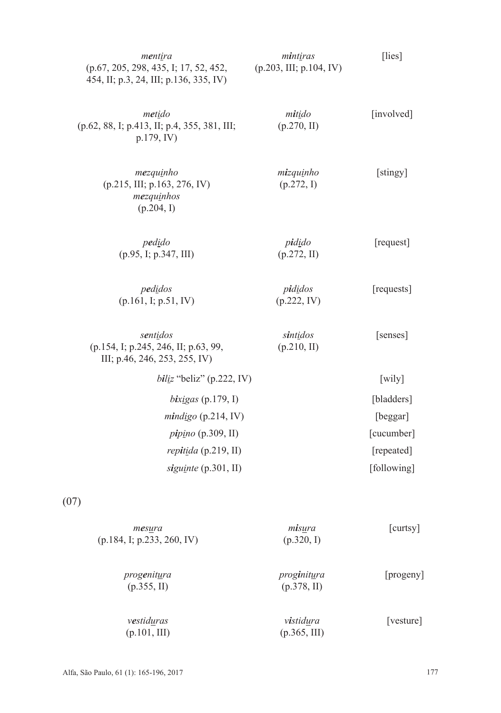| mentira<br>(p.67, 205, 298, 435, I; 17, 52, 452,<br>454, II; p.3, 24, III; p.136, 335, IV) | mintiras<br>(p.203, III; p.104, IV) | [lies]      |
|--------------------------------------------------------------------------------------------|-------------------------------------|-------------|
| metido<br>(p.62, 88, I; p.413, II; p.4, 355, 381, III;<br>$p.179$ , IV)                    | mitido<br>$(p.270, \text{II})$      | [involved]  |
| mezquinho<br>(p.215, III; p.163, 276, IV)<br>mezquinhos<br>(p.204, I)                      | mizquinho<br>(p.272, I)             | [stingy]    |
| pedido<br>(p.95, I; p.347, III)                                                            | pidido<br>$(p.272, \Pi)$            | [request]   |
| pedidos<br>(p.161, I; p.51, IV)                                                            | pididos<br>(p.222, IV)              | [requests]  |
| sentidos<br>(p.154, I; p.245, 246, II; p.63, 99,<br>III; p.46, 246, 253, 255, IV)          | sintidos<br>(p.210, II)             | [senses]    |
| $bili z$ "beliz" (p.222, IV)                                                               |                                     | [wily]      |
| bixigas (p.179, I)                                                                         |                                     | [bladders]  |
| mindigo (p.214, IV)                                                                        |                                     | [beggar]    |
| $pipino$ (p.309, II)                                                                       |                                     | [cucumber]  |
| repitida (p.219, II)                                                                       |                                     | [repeated]  |
| siguinte $(p.301, \Pi)$                                                                    |                                     | [following] |
| (07)                                                                                       |                                     |             |
| mes <u>u</u> ra                                                                            | misura                              | [curtsy]    |

| mesura<br>(p.184, I; p.233, 260, IV)         | misura<br>(p.320, I)                | $ $ cutto y $ $ |
|----------------------------------------------|-------------------------------------|-----------------|
| progenit <u>u</u> ra<br>$(p.355, \text{II})$ | proginitura<br>$(p.378, \text{II})$ | [progeny]       |
| vestiduras<br>(p.101, III)                   | vistidura<br>$(p.365, \text{III})$  | [vesture]       |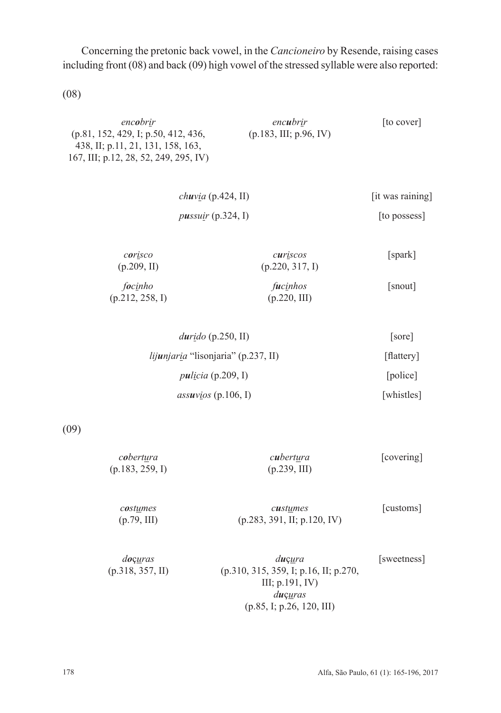Concerning the pretonic back vowel, in the *Cancioneiro* by Resende, raising cases including front (08) and back (09) high vowel of the stressed syllable were also reported:

(08)

| encobrir<br>(p.81, 152, 429, I; p.50, 412, 436,<br>438, II; p.11, 21, 131, 158, 163,<br>167, III; p.12, 28, 52, 249, 295, IV) | encubrir<br>(p.183, III; p.96, IV) | [to cover]       |
|-------------------------------------------------------------------------------------------------------------------------------|------------------------------------|------------------|
|                                                                                                                               | <i>chuvia</i> $(p.424, II)$        | [it was raining] |
|                                                                                                                               | <i>pussuir</i> (p.324, I)          | [to possess]     |
| corisco<br>$(p.209, \text{II})$                                                                                               | curiscos<br>(p.220, 317, I)        | [spark]          |
| <i>focinho</i><br>(p.212, 258, I)                                                                                             | <i>fucinhos</i><br>(p.220, III)    | [snout]          |
|                                                                                                                               | $durido$ (p.250, II)               | [sore]           |
| <i>lijunjaria</i> "lisonjaria" (p.237, II)                                                                                    |                                    | [flattery]       |
|                                                                                                                               | <i>pulicia</i> (p.209, I)          | [police]         |
|                                                                                                                               | $\textit{assuvios}$ (p.106, I)     | [whistles]       |

(09)

| cobertura<br>(p.183, 259, I) | <i>cubertura</i><br>(p.239, III)                        | [covering]  |
|------------------------------|---------------------------------------------------------|-------------|
| costumes<br>(p.79, III)      | custumes<br>$(p.283, 391, \text{II}; p.120, \text{IV})$ | [customs]   |
| <i>docuras</i>               | duç <u>u</u> ra                                         | [sweetness] |

| docuras          | ducura                                | [sweetness] |
|------------------|---------------------------------------|-------------|
| (p.318, 357, II) | (p.310, 315, 359, I; p.16, II; p.270, |             |
|                  | III; p.191, IV)                       |             |
|                  | ducuras                               |             |
|                  | (p.85, I; p.26, 120, III)             |             |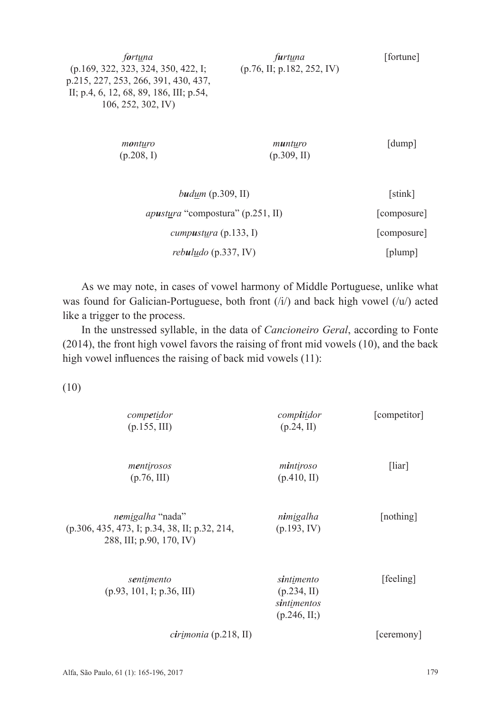| fortuna                                 | <i>furtuna</i>             | [fortune] |
|-----------------------------------------|----------------------------|-----------|
| (p.169, 322, 323, 324, 350, 422, I;     | (p.76, II; p.182, 252, IV) |           |
| p.215, 227, 253, 266, 391, 430, 437,    |                            |           |
| II; p.4, 6, 12, 68, 89, 186, III; p.54, |                            |           |
| 106, 252, 302, IV                       |                            |           |
|                                         |                            |           |

| monturo    | munturo              | $\lceil \text{dump} \rceil$ |
|------------|----------------------|-----------------------------|
| (p.208, I) | $(p.309, \text{II})$ |                             |

| bud <u>u</u> m (p.309, II)               | [stink]     |
|------------------------------------------|-------------|
| <i>apustura</i> "compostura" (p.251, II) | [composure] |
| <i>cumpustura</i> $(p.133, I)$           | [composure] |
| <i>rebuludo</i> (p.337, IV)              | [plump]     |

As we may note, in cases of vowel harmony of Middle Portuguese, unlike what was found for Galician-Portuguese, both front (/i/) and back high vowel (/u/) acted like a trigger to the process.

In the unstressed syllable, in the data of *Cancioneiro Geral*, according to Fonte (2014), the front high vowel favors the raising of front mid vowels (10), and the back high vowel influences the raising of back mid vowels (11):

(10)

| competidor<br>$(p.155, \text{III})$                                                                  | compitidor<br>$(p.24, \text{II})$                                                 | [competitor] |
|------------------------------------------------------------------------------------------------------|-----------------------------------------------------------------------------------|--------------|
| mentirosos<br>$(p.76, \text{III})$                                                                   | mintiroso<br>$(p.410, \Pi)$                                                       | $[$ liar $]$ |
| <i>nemigalha</i> "nada"<br>(p.306, 435, 473, I; p.34, 38, II; p.32, 214,<br>288, III; p.90, 170, IV) | nimigalha<br>(p.193, IV)                                                          | [nothing]    |
| sentimento<br>(p.93, 101, I; p.36, III)                                                              | sintimento<br>$(p.234, \text{II})$<br><i>sintimentos</i><br>$(p.246, \text{II};)$ | [feeling]    |
| cir <u>imonia</u> (p.218, II)                                                                        |                                                                                   | [ceremony]   |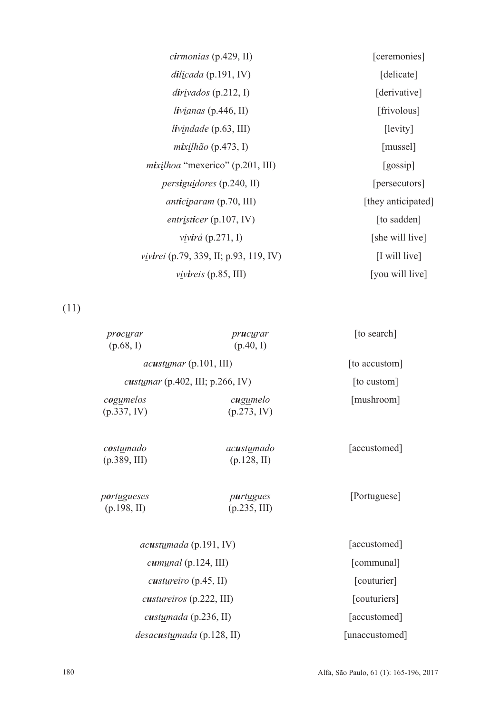| $c$ <i>irmonias</i> (p.429, II)               | [ceremonies]       |
|-----------------------------------------------|--------------------|
| dilicada (p.191, IV)                          | [delicate]         |
| $dirivados$ (p.212, I)                        | [derivative]       |
| <i>livianas</i> (p.446, II)                   | [frivolous]        |
| <i>livindade</i> (p.63, III)                  | [levity]           |
| mixilhão (p.473, I)                           | [mussel]           |
| $mixilhoa$ "mexerico" (p.201, III)            | $[$ gossip $]$     |
| <i>persiguidores</i> (p.240, II)              | [persecutors]      |
| $anticiparam$ (p.70, III)                     | [they anticipated] |
| <i>entristicer</i> (p.107, IV)                | [to sadden]        |
| <i>vivirá</i> (p.271, I)                      | [she will live]    |
| <i>vivirei</i> (p.79, 339, II; p.93, 119, IV) | [I will live]      |
| <i>vivireis</i> $(p.85, \text{III})$          | [you will live]    |

(11)

| procurar<br>(p.68, I)                                 | prucurar<br>(p.40, I)                    | [to search]    |
|-------------------------------------------------------|------------------------------------------|----------------|
|                                                       | acustumar (p.101, III)                   | [to accustom]  |
|                                                       | <i>custumar</i> (p.402, III; p.266, IV)  | [to custom]    |
| cogumelos<br>(p.337, IV)                              | cugumelo<br>(p.273, IV)                  | [mushroom]     |
| costumado<br>(p.389, III)                             | <i>acustumado</i><br>$(p.128, \Pi)$      | [accustomed]   |
| p <b>o</b> rt <u>u</u> gueses<br>$(p.198, \text{II})$ | purtugues<br>$(p.235, \text{III})$       | [Portuguese]   |
|                                                       | $acustu$ mada (p.191, IV)                | [accustomed]   |
|                                                       | <i>cumunal</i> (p.124, III)              | [communal]     |
|                                                       | <i>custureiro</i> $(p.45, II)$           | [couturier]    |
|                                                       | <i>custureiros</i> $(p.222, \text{III})$ | [couturiers]   |
|                                                       | <i>custumada</i> (p.236, II)             | [accustomed]   |
|                                                       | desacustumada (p.128, II)                | [unaccustomed] |
|                                                       |                                          |                |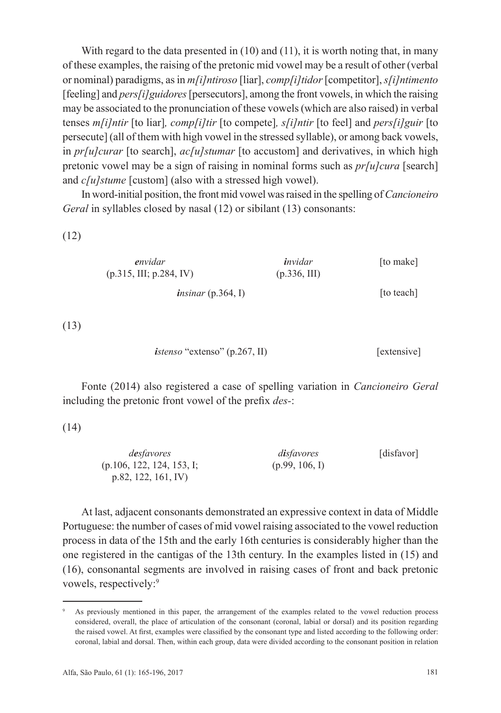With regard to the data presented in  $(10)$  and  $(11)$ , it is worth noting that, in many of these examples, the raising of the pretonic mid vowel may be a result of other (verbal or nominal) paradigms, as in *m[i]ntiroso* [liar], *comp[i]tidor* [competitor], *s[i]ntimento*  [feeling] and *pers[i]guidores* [persecutors], among the front vowels, in which the raising may be associated to the pronunciation of these vowels (which are also raised) in verbal tenses *m[i]ntir* [to liar]*, comp[i]tir* [to compete]*, s[i]ntir* [to feel] and *pers[i]guir* [to persecute] (all of them with high vowel in the stressed syllable), or among back vowels, in *pr[u]curar* [to search], *ac[u]stumar* [to accustom] and derivatives, in which high pretonic vowel may be a sign of raising in nominal forms such as *pr[u]cura* [search] and *c[u]stume* [custom] (also with a stressed high vowel).

In word-initial position, the front mid vowel was raised in the spelling of *Cancioneiro Geral* in syllables closed by nasal (12) or sibilant (13) consonants:

(12)

| envidar                   | <i>invidar</i>        | [to make]  |
|---------------------------|-----------------------|------------|
| (p.315, III; p.284, IV)   | $(p.336, \text{III})$ |            |
| <i>insinar</i> (p.364, I) |                       | [to teach] |

(13)

| <i>istenso</i> "extenso" (p.267, II) | [extensive] |  |
|--------------------------------------|-------------|--|
|--------------------------------------|-------------|--|

Fonte (2014) also registered a case of spelling variation in *Cancioneiro Geral* including the pretonic front vowel of the prefix *des-*:

(14)

| desfavores                | disfavores     | [disfavor] |
|---------------------------|----------------|------------|
| (p.106, 122, 124, 153, I; | (p.99, 106, I) |            |
| p.82, 122, 161, IV)       |                |            |

At last, adjacent consonants demonstrated an expressive context in data of Middle Portuguese: the number of cases of mid vowel raising associated to the vowel reduction process in data of the 15th and the early 16th centuries is considerably higher than the one registered in the cantigas of the 13th century. In the examples listed in (15) and (16), consonantal segments are involved in raising cases of front and back pretonic vowels, respectively:9

<sup>9</sup> As previously mentioned in this paper, the arrangement of the examples related to the vowel reduction process considered, overall, the place of articulation of the consonant (coronal, labial or dorsal) and its position regarding the raised vowel. At first, examples were classified by the consonant type and listed according to the following order: coronal, labial and dorsal. Then, within each group, data were divided according to the consonant position in relation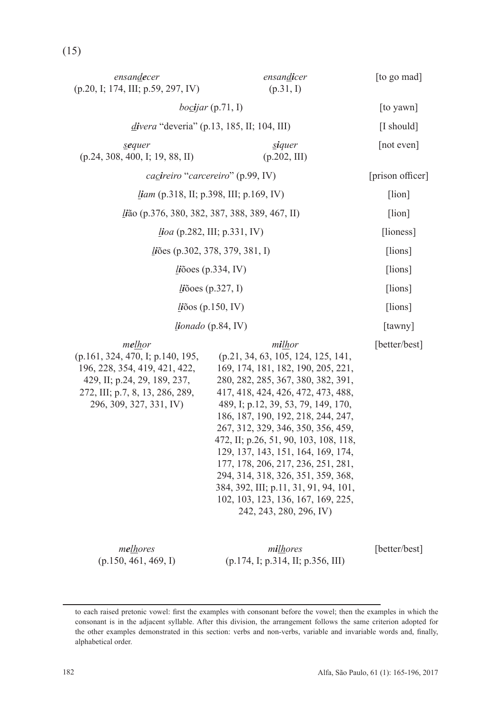| ensan <u>d</u> ecer<br>(p.20, I; 174, III; p.59, 297, IV)                                                                                                                 | ensandicer<br>(p.31, I)                                                                                                                                                                                                                                                                                                                                                                                                                                                                                                                                | [to go mad]      |
|---------------------------------------------------------------------------------------------------------------------------------------------------------------------------|--------------------------------------------------------------------------------------------------------------------------------------------------------------------------------------------------------------------------------------------------------------------------------------------------------------------------------------------------------------------------------------------------------------------------------------------------------------------------------------------------------------------------------------------------------|------------------|
|                                                                                                                                                                           | $b$ ocijar (p.71, I)                                                                                                                                                                                                                                                                                                                                                                                                                                                                                                                                   | [to yawn]        |
|                                                                                                                                                                           | $divera$ "deveria" (p.13, 185, II; 104, III)                                                                                                                                                                                                                                                                                                                                                                                                                                                                                                           | [I should]       |
| sequer<br>(p.24, 308, 400, I; 19, 88, II)                                                                                                                                 | siquer<br>$(p.202, \text{III})$                                                                                                                                                                                                                                                                                                                                                                                                                                                                                                                        | [not even]       |
|                                                                                                                                                                           | cacireiro "carcereiro" (p.99, IV)                                                                                                                                                                                                                                                                                                                                                                                                                                                                                                                      | [prison officer] |
|                                                                                                                                                                           | <i>liam</i> (p.318, II; p.398, III; p.169, IV)                                                                                                                                                                                                                                                                                                                                                                                                                                                                                                         | [lion]           |
|                                                                                                                                                                           | lião (p.376, 380, 382, 387, 388, 389, 467, II)                                                                                                                                                                                                                                                                                                                                                                                                                                                                                                         | $[$ lion $]$     |
|                                                                                                                                                                           | <i>lioa</i> (p.282, III; p.331, IV)                                                                                                                                                                                                                                                                                                                                                                                                                                                                                                                    | [lioness]        |
|                                                                                                                                                                           | $\mu$ ões (p.302, 378, 379, 381, I)                                                                                                                                                                                                                                                                                                                                                                                                                                                                                                                    | [lions]          |
|                                                                                                                                                                           | $li\$ {o}oes (p.334, IV)                                                                                                                                                                                                                                                                                                                                                                                                                                                                                                                               | [lions]          |
|                                                                                                                                                                           | $li\$ {o}oes (p.327, I)                                                                                                                                                                                                                                                                                                                                                                                                                                                                                                                                | [lions]          |
|                                                                                                                                                                           | $li\$ {li}õos (p.150, IV)                                                                                                                                                                                                                                                                                                                                                                                                                                                                                                                              | [lions]          |
|                                                                                                                                                                           | lionado (p.84, IV)                                                                                                                                                                                                                                                                                                                                                                                                                                                                                                                                     | [tawny]          |
| melhor<br>(p.161, 324, 470, I; p.140, 195,<br>196, 228, 354, 419, 421, 422,<br>429, II; p.24, 29, 189, 237,<br>272, III; p.7, 8, 13, 286, 289,<br>296, 309, 327, 331, IV) | milhor<br>(p.21, 34, 63, 105, 124, 125, 141,<br>169, 174, 181, 182, 190, 205, 221,<br>280, 282, 285, 367, 380, 382, 391,<br>417, 418, 424, 426, 472, 473, 488,<br>489, I; p.12, 39, 53, 79, 149, 170,<br>186, 187, 190, 192, 218, 244, 247,<br>267, 312, 329, 346, 350, 356, 459,<br>472, II; p.26, 51, 90, 103, 108, 118,<br>129, 137, 143, 151, 164, 169, 174,<br>177, 178, 206, 217, 236, 251, 281,<br>294, 314, 318, 326, 351, 359, 368,<br>384, 392, III; p.11, 31, 91, 94, 101,<br>102, 103, 123, 136, 167, 169, 225,<br>242, 243, 280, 296, IV) | [better/best]    |
| <i>melhores</i><br>(p.150, 461, 469, I)                                                                                                                                   | milhores<br>(p.174, I; p.314, II; p.356, III)                                                                                                                                                                                                                                                                                                                                                                                                                                                                                                          | [better/best]    |

to each raised pretonic vowel: first the examples with consonant before the vowel; then the examples in which the consonant is in the adjacent syllable. After this division, the arrangement follows the same criterion adopted for the other examples demonstrated in this section: verbs and non-verbs, variable and invariable words and, finally, alphabetical order.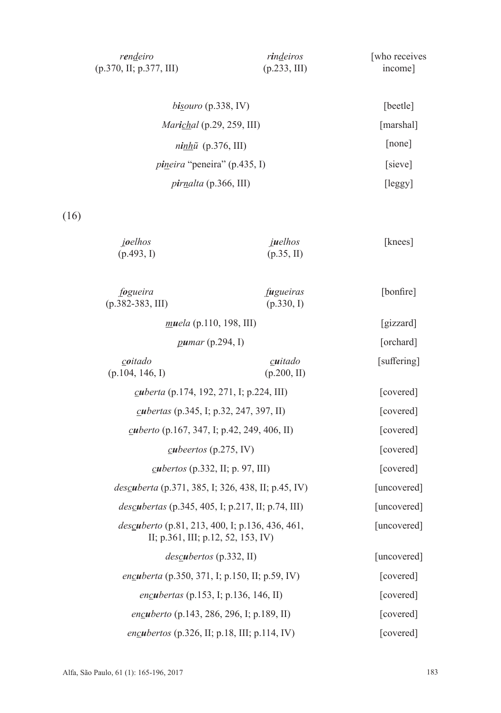| rendeiro                | rindeiros             | who receives |
|-------------------------|-----------------------|--------------|
| (p.370, II; p.377, III) | $(p.233, \text{III})$ | income]      |

| bisouro $(p.338, IV)$               | [beetle]  |
|-------------------------------------|-----------|
| <i>Marichal</i> (p.29, 259, III)    | [marshal] |
| <i>ninhū</i> (p.376, III)           | [none]    |
| <i>pineira</i> "peneira" (p.435, I) | [sieve]   |
| pirnalta (p.366, III)               | [leggy]   |

*juelhos*

[knees]

(16)

*joelhos*

| (p.493, I)                                                                            | $(p.35, \text{II})$            |             |
|---------------------------------------------------------------------------------------|--------------------------------|-------------|
| fogueira<br>$(p.382-383, \text{III})$                                                 | <i>fugueiras</i><br>(p.330, I) | [bonfire]   |
| muela (p.110, 198, III)                                                               |                                | [gizzard]   |
| pumar (p.294, I)                                                                      |                                | [orchard]   |
| coitado<br>(p.104, 146, I)                                                            | cuitado<br>$(p.200, \Pi)$      | [suffering] |
| <i>cuberta</i> (p.174, 192, 271, I; p.224, III)                                       |                                | [covered]   |
| <i>cubertas</i> (p.345, I; p.32, 247, 397, II)                                        |                                | [covered]   |
| <i>cuberto</i> (p.167, 347, I; p.42, 249, 406, II)                                    |                                | [covered]   |
| cubeertos (p.275, IV)                                                                 |                                | [covered]   |
| <i>cubertos</i> (p.332, II; p. 97, III)                                               |                                | [covered]   |
| descuberta (p.371, 385, I; 326, 438, II; p.45, IV)                                    |                                | [uncovered] |
| <i>descubertas</i> (p.345, 405, I; p.217, II; p.74, III)                              |                                | [uncovered] |
| descuberto (p.81, 213, 400, I; p.136, 436, 461,<br>II; p.361, III; p.12, 52, 153, IV) |                                | [uncovered] |
| $descubertos$ (p.332, II)                                                             |                                | [uncovered] |
| encuberta (p.350, 371, I; p.150, II; p.59, IV)                                        |                                | [covered]   |
| encubertas (p.153, I; p.136, 146, II)                                                 |                                | [covered]   |
| encuberto (p.143, 286, 296, I; p.189, II)                                             |                                | [covered]   |
| <i>encubertos</i> (p.326, II; p.18, III; p.114, IV)                                   |                                | [covered]   |
|                                                                                       |                                |             |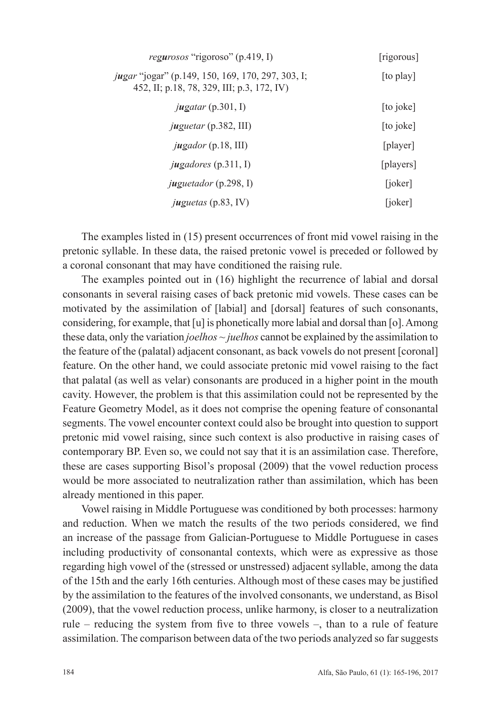| <i>regurosos</i> "rigoroso" (p.419, I)                                                          | [rigorous]           |
|-------------------------------------------------------------------------------------------------|----------------------|
| jugar "jogar" (p.149, 150, 169, 170, 297, 303, I;<br>452, II; p.18, 78, 329, III; p.3, 172, IV) | to play              |
| <i>jugatar</i> (p. 301, I)                                                                      | [to joke]            |
| $j$ <b>u</b> guetar (p.382, III)                                                                | to joke              |
| $jugador$ (p.18, III)                                                                           | player               |
| $j$ <b>u</b> gadores (p.311, I)                                                                 | [players]            |
| <i>juguetador</i> (p.298, I)                                                                    | [ <i>j</i> oker]     |
| <i>juguetas</i> (p.83, IV)                                                                      | [i <sub>0</sub> ker] |

The examples listed in (15) present occurrences of front mid vowel raising in the pretonic syllable. In these data, the raised pretonic vowel is preceded or followed by a coronal consonant that may have conditioned the raising rule.

The examples pointed out in (16) highlight the recurrence of labial and dorsal consonants in several raising cases of back pretonic mid vowels. These cases can be motivated by the assimilation of [labial] and [dorsal] features of such consonants, considering, for example, that [u] is phonetically more labial and dorsal than [o]. Among these data, only the variation *joelhos* ~ *juelhos* cannot be explained by the assimilation to the feature of the (palatal) adjacent consonant, as back vowels do not present [coronal] feature. On the other hand, we could associate pretonic mid vowel raising to the fact that palatal (as well as velar) consonants are produced in a higher point in the mouth cavity. However, the problem is that this assimilation could not be represented by the Feature Geometry Model, as it does not comprise the opening feature of consonantal segments. The vowel encounter context could also be brought into question to support pretonic mid vowel raising, since such context is also productive in raising cases of contemporary BP. Even so, we could not say that it is an assimilation case. Therefore, these are cases supporting Bisol's proposal (2009) that the vowel reduction process would be more associated to neutralization rather than assimilation, which has been already mentioned in this paper.

Vowel raising in Middle Portuguese was conditioned by both processes: harmony and reduction. When we match the results of the two periods considered, we find an increase of the passage from Galician-Portuguese to Middle Portuguese in cases including productivity of consonantal contexts, which were as expressive as those regarding high vowel of the (stressed or unstressed) adjacent syllable, among the data of the 15th and the early 16th centuries. Although most of these cases may be justified by the assimilation to the features of the involved consonants, we understand, as Bisol (2009), that the vowel reduction process, unlike harmony, is closer to a neutralization rule – reducing the system from five to three vowels –, than to a rule of feature assimilation. The comparison between data of the two periods analyzed so far suggests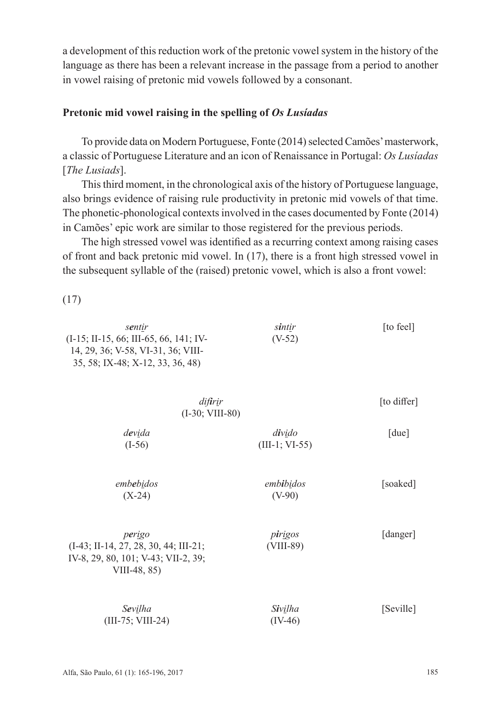a development of this reduction work of the pretonic vowel system in the history of the language as there has been a relevant increase in the passage from a period to another in vowel raising of pretonic mid vowels followed by a consonant.

## **Pretonic mid vowel raising in the spelling of** *Os Lusíadas*

To provide data on Modern Portuguese, Fonte (2014) selected Camões' masterwork, a classic of Portuguese Literature and an icon of Renaissance in Portugal: *Os Lusíadas*  [*The Lusiads*].

This third moment, in the chronological axis of the history of Portuguese language, also brings evidence of raising rule productivity in pretonic mid vowels of that time. The phonetic-phonological contexts involved in the cases documented by Fonte (2014) in Camões' epic work are similar to those registered for the previous periods.

The high stressed vowel was identified as a recurring context among raising cases of front and back pretonic mid vowel. In (17), there is a front high stressed vowel in the subsequent syllable of the (raised) pretonic vowel, which is also a front vowel:

(17)

| sentir<br>(I-15; II-15, 66; III-65, 66, 141; IV-<br>14, 29, 36; V-58, VI-31, 36; VIII-<br>35, 58; IX-48; X-12, 33, 36, 48) | sintir<br>$(V-52)$            | [to feel]   |
|----------------------------------------------------------------------------------------------------------------------------|-------------------------------|-------------|
| difirir<br>$(I-30; VIII-80)$                                                                                               |                               | [to differ] |
| devida<br>$(I-56)$                                                                                                         | divido<br>$(III-1; VI-55)$    | [due]       |
| embebidos<br>$(X-24)$                                                                                                      | embibidos<br>$(V-90)$         | [soaked]    |
| perigo<br>$(I-43; II-14, 27, 28, 30, 44; III-21;$<br>IV-8, 29, 80, 101; V-43; VII-2, 39;<br>VIII-48, 85)                   | pirigos<br>$(VIII-89)$        | [danger]    |
| Sevilha<br>$(III-75; VIII-24)$                                                                                             | S <b>i</b> vilha<br>$(IV-46)$ | [Seville]   |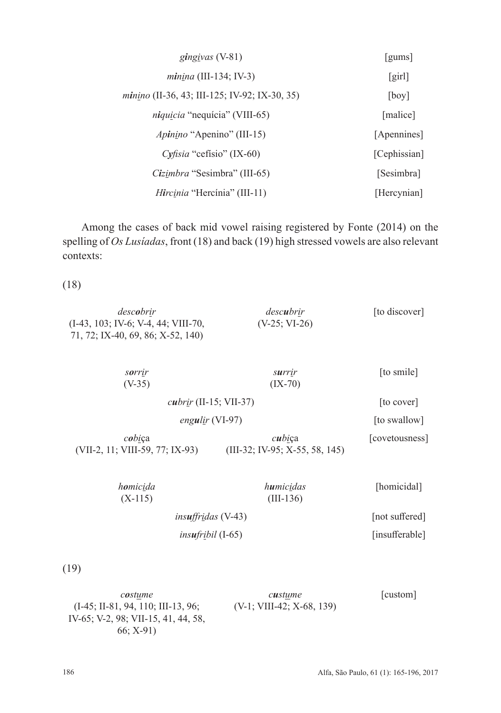| gingivas $(V-81)$                             | [gums]                     |
|-----------------------------------------------|----------------------------|
| minina (III-134; IV-3)                        | $\left[\text{girl}\right]$ |
| minino (II-36, 43; III-125; IV-92; IX-30, 35) | [boy]                      |
| <i>niquicia</i> "nequícia" (VIII-65)          | [malice]                   |
| <i>Apinino</i> "Apenino" (III-15)             | [Apennines]                |
| <i>Cyfisia</i> "cefisio" $(IX-60)$            | [Cephissian]               |
| <i>Cizimbra</i> "Sesimbra" (III-65)           | [Sesimbra]                 |
| <i>Hircinia</i> "Hercínia" (III-11)           | [Hercynian]                |

Among the cases of back mid vowel raising registered by Fonte (2014) on the spelling of *Os Lusíadas*, front (18) and back (19) high stressed vowels are also relevant contexts:

(18)

| descobrir<br>(I-43, 103; IV-6; V-4, 44; VIII-70,<br>71, 72; IX-40, 69, 86; X-52, 140) | <i>descubrir</i><br>$(V-25; VI-26)$        | [to discover]  |
|---------------------------------------------------------------------------------------|--------------------------------------------|----------------|
| sorrir<br>$(V-35)$                                                                    | surrir<br>$(IX-70)$                        | [to smile]     |
| <i>cubrir</i> (II-15; VII-37)                                                         |                                            | [to cover]     |
| <i>engulir</i> (VI-97)                                                                |                                            | [to swallow]   |
| cobiça<br>(VII-2, 11; VIII-59, 77; IX-93)                                             | cubiça<br>$(III-32; IV-95; X-55, 58, 145)$ | [covetousness] |
| homicida<br>$(X-115)$                                                                 | h <b>u</b> micidas<br>$(III-136)$          | [homicidal]    |
| <i>insuffridas</i> (V-43)                                                             |                                            | [not suffered] |
| <i>insufribil</i> (I-65)                                                              |                                            | [insufferable] |

(19)

*costume* (I-45; II-81, 94, 110; III-13, 96; IV-65; V-2, 98; VII-15, 41, 44, 58, 66; X-91) *custume* (V-1; VIII-42; X-68, 139) [custom]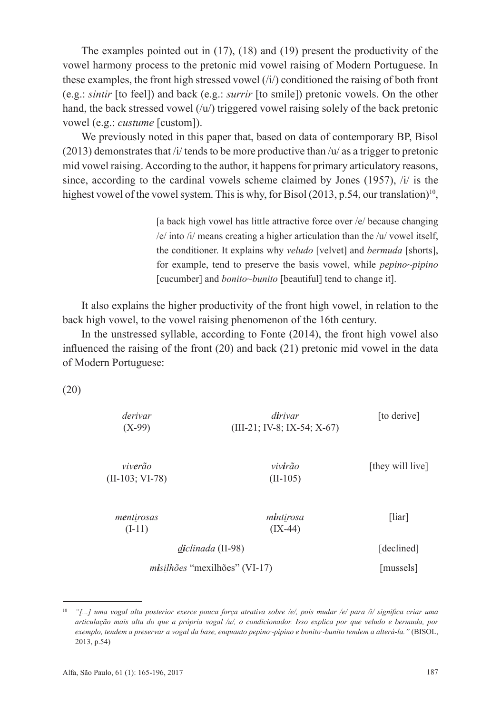The examples pointed out in (17), (18) and (19) present the productivity of the vowel harmony process to the pretonic mid vowel raising of Modern Portuguese. In these examples, the front high stressed vowel  $(i)$  conditioned the raising of both front (e.g.: *sintir* [to feel]) and back (e.g.: *surrir* [to smile]) pretonic vowels. On the other hand, the back stressed vowel  $(\alpha)$  triggered vowel raising solely of the back pretonic vowel (e.g.: *custume* [custom]).

We previously noted in this paper that, based on data of contemporary BP, Bisol  $(2013)$  demonstrates that /i/ tends to be more productive than /u/ as a trigger to pretonic mid vowel raising. According to the author, it happens for primary articulatory reasons, since, according to the cardinal vowels scheme claimed by Jones (1957), /i/ is the highest vowel of the vowel system. This is why, for Bisol (2013, p.54, our translation)<sup>10</sup>,

> [a back high vowel has little attractive force over /e/ because changing /e/ into /i/ means creating a higher articulation than the /u/ vowel itself, the conditioner. It explains why *veludo* [velvet] and *bermuda* [shorts], for example, tend to preserve the basis vowel, while *pepino~pipino*  [cucumber] and *bonito~bunito* [beautiful] tend to change it].

It also explains the higher productivity of the front high vowel, in relation to the back high vowel, to the vowel raising phenomenon of the 16th century.

In the unstressed syllable, according to Fonte (2014), the front high vowel also influenced the raising of the front (20) and back (21) pretonic mid vowel in the data of Modern Portuguese:

(20)

| derivar<br>$(X-99)$          | dirivar<br>$(III-21; IV-8; IX-54; X-67)$ | [to derive]      |
|------------------------------|------------------------------------------|------------------|
| viverão<br>$(II-103; VI-78)$ | vivirão<br>$(II-105)$                    | [they will live] |
| mentirosas<br>$(I-11)$       | mintirosa<br>$(IX-44)$                   | $[$ liar $]$     |
|                              | diclinada (II-98)                        | [declined]       |
|                              | <i>misilhões</i> "mexilhões" (VI-17)     | [mussels]        |

<sup>10</sup> *"[...] uma vogal alta posterior exerce pouca força atrativa sobre /e/, pois mudar /e/ para /i/ significa criar uma articulação mais alta do que a própria vogal /u/, o condicionador. Isso explica por que veludo e bermuda, por exemplo, tendem a preservar a vogal da base, enquanto pepino~pipino e bonito~bunito tendem a alterá-la."* (BISOL, 2013, p.54)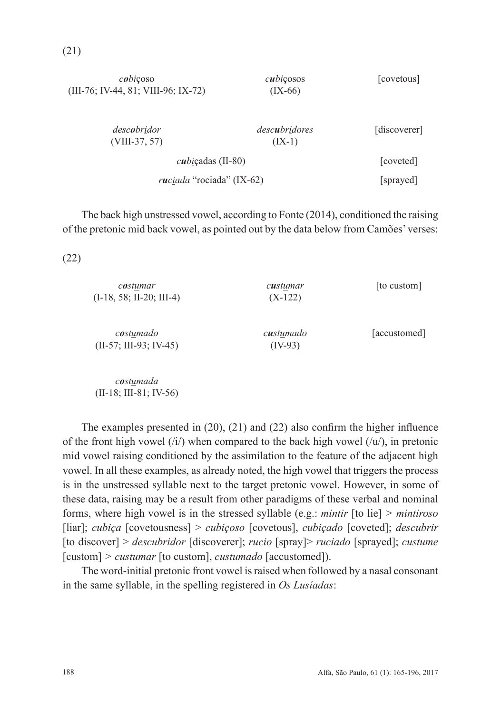| [covetous]   | cubiçosos<br>$(IX-66)$    | cobiçoso<br>(III-76; IV-44, 81; VIII-96; IX-72) |
|--------------|---------------------------|-------------------------------------------------|
| [discoverer] | descubridores<br>$(IX-1)$ | descobridor<br>$(VIII-37, 57)$                  |
| [coveted]    |                           | $\mathcal{C}$ ubicadas (II-80)                  |
| [sprayed]    |                           | <i>ruciada</i> "rociada" (IX-62)                |

The back high unstressed vowel, according to Fonte (2014), conditioned the raising of the pretonic mid back vowel, as pointed out by the data below from Camões' verses:

(22)

| costumar<br>$(I-18, 58; II-20; III-4)$ | custumar<br>$(X-122)$         | [to custom]  |
|----------------------------------------|-------------------------------|--------------|
| costumado<br>$(II-57; III-93; IV-45)$  | <i>custumado</i><br>$(IV-93)$ | [accustomed] |

*costumada* (II-18; III-81; IV-56)

The examples presented in (20), (21) and (22) also confirm the higher influence of the front high vowel  $(i)$  when compared to the back high vowel  $(i)$ , in pretonic mid vowel raising conditioned by the assimilation to the feature of the adjacent high vowel. In all these examples, as already noted, the high vowel that triggers the process is in the unstressed syllable next to the target pretonic vowel. However, in some of these data, raising may be a result from other paradigms of these verbal and nominal forms, where high vowel is in the stressed syllable (e.g.: *mintir* [to lie] *> mintiroso*  [liar]; *cubiça* [covetousness] > *cubiçoso* [covetous], *cubiçado* [coveted]; *descubrir*  [to discover] > *descubridor* [discoverer]; *rucio* [spray]> *ruciado* [sprayed]; *custume*  [custom] *> custumar* [to custom], *custumado* [accustomed]).

The word-initial pretonic front vowel is raised when followed by a nasal consonant in the same syllable, in the spelling registered in *Os Lusíadas*: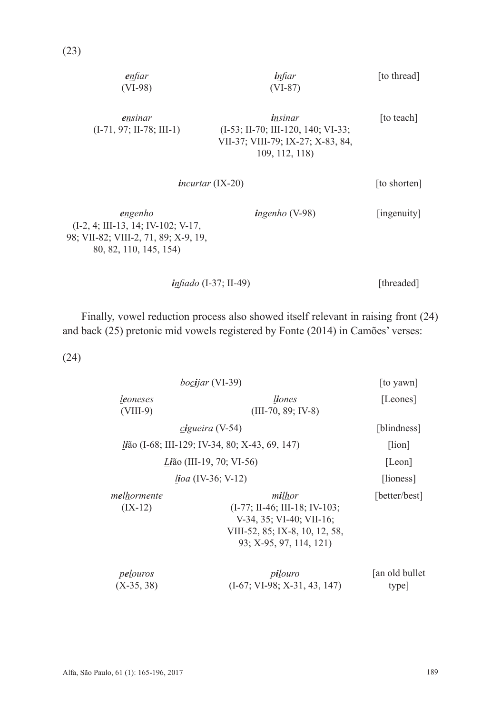Finally, vowel reduction process also showed itself relevant in raising front (24) and back (25) pretonic mid vowels registered by Fonte (2014) in Camões' verses:

(24)

(23)

|                                   | <i>bocijar</i> (VI-39)                                                                                                             | [to yawn]               |
|-----------------------------------|------------------------------------------------------------------------------------------------------------------------------------|-------------------------|
| leoneses<br>$(VIII-9)$            | liones<br>$(III-70, 89; IV-8)$                                                                                                     | [Leones]                |
|                                   | cigueira (V-54)                                                                                                                    | [blindness]             |
|                                   | <i>li</i> ão (I-68; III-129; IV-34, 80; X-43, 69, 147)                                                                             | $[$ lion $]$            |
|                                   | $Li\tilde{a}$ o (III-19, 70; VI-56)                                                                                                | [Leon]                  |
|                                   | <i>lioa</i> (IV-36; V-12)                                                                                                          | [lioness]               |
| m <b>e</b> lhormente<br>$(IX-12)$ | milhor<br>$(I-77; II-46; III-18; IV-103;$<br>V-34, 35; VI-40; VII-16;<br>VIII-52, 85; IX-8, 10, 12, 58,<br>93: X-95, 97, 114, 121) | [better/best]           |
| pelouros<br>$(X-35, 38)$          | pilouro<br>$(I-67; VI-98; X-31, 43, 147)$                                                                                          | [an old bullet]<br>type |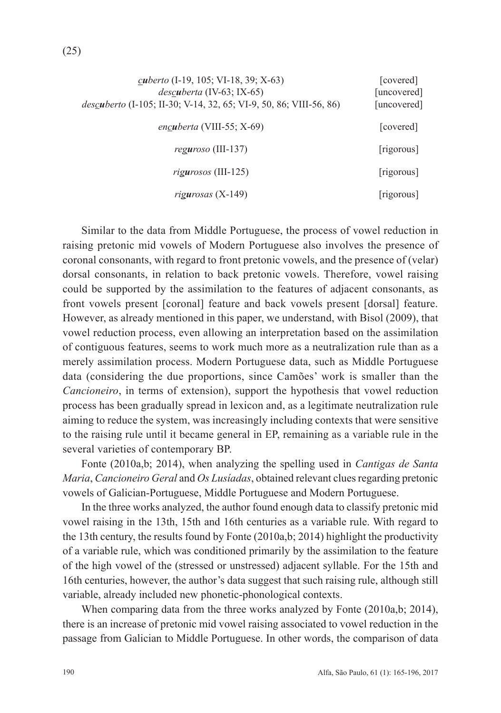| <i>cuberto</i> (I-19, 105; VI-18, 39; X-63)<br>$descuberta$ (IV-63; IX-65)<br><i>descuberto</i> (I-105; II-30; V-14, 32, 65; VI-9, 50, 86; VIII-56, 86) | [covered]<br>[uncovered]<br>[uncovered] |
|---------------------------------------------------------------------------------------------------------------------------------------------------------|-----------------------------------------|
| encuberta (VIII-55; X-69)                                                                                                                               | [covered]                               |
| <i>reguroso</i> (III-137)                                                                                                                               | [rigorous]                              |
| <i>rigurosos</i> (III-125)                                                                                                                              | [rigorous]                              |
| <i>rigurosas</i> $(X-149)$                                                                                                                              | [rigorous]                              |

Similar to the data from Middle Portuguese, the process of vowel reduction in raising pretonic mid vowels of Modern Portuguese also involves the presence of coronal consonants, with regard to front pretonic vowels, and the presence of (velar) dorsal consonants, in relation to back pretonic vowels. Therefore, vowel raising could be supported by the assimilation to the features of adjacent consonants, as front vowels present [coronal] feature and back vowels present [dorsal] feature. However, as already mentioned in this paper, we understand, with Bisol (2009), that vowel reduction process, even allowing an interpretation based on the assimilation of contiguous features, seems to work much more as a neutralization rule than as a merely assimilation process. Modern Portuguese data, such as Middle Portuguese data (considering the due proportions, since Camões' work is smaller than the *Cancioneiro*, in terms of extension), support the hypothesis that vowel reduction process has been gradually spread in lexicon and, as a legitimate neutralization rule aiming to reduce the system, was increasingly including contexts that were sensitive to the raising rule until it became general in EP, remaining as a variable rule in the several varieties of contemporary BP.

Fonte (2010a,b; 2014), when analyzing the spelling used in *Cantigas de Santa Maria*, *Cancioneiro Geral* and *Os Lusíadas*, obtained relevant clues regarding pretonic vowels of Galician-Portuguese, Middle Portuguese and Modern Portuguese.

In the three works analyzed, the author found enough data to classify pretonic mid vowel raising in the 13th, 15th and 16th centuries as a variable rule. With regard to the 13th century, the results found by Fonte (2010a,b; 2014) highlight the productivity of a variable rule, which was conditioned primarily by the assimilation to the feature of the high vowel of the (stressed or unstressed) adjacent syllable. For the 15th and 16th centuries, however, the author's data suggest that such raising rule, although still variable, already included new phonetic-phonological contexts.

When comparing data from the three works analyzed by Fonte (2010a,b; 2014), there is an increase of pretonic mid vowel raising associated to vowel reduction in the passage from Galician to Middle Portuguese. In other words, the comparison of data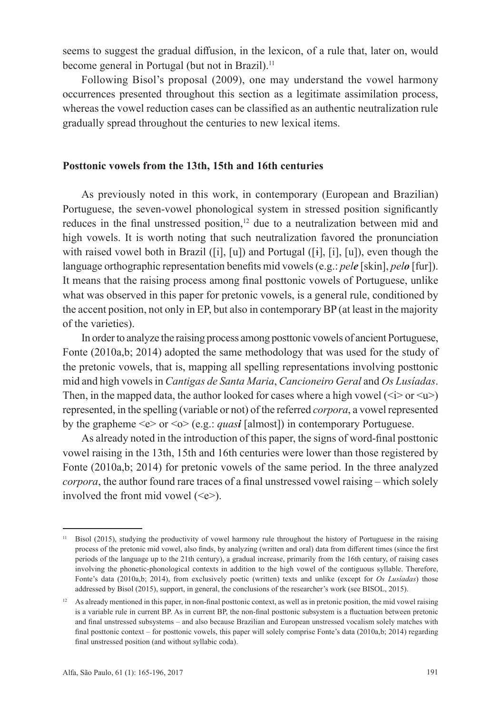seems to suggest the gradual diffusion, in the lexicon, of a rule that, later on, would become general in Portugal (but not in Brazil).<sup>11</sup>

Following Bisol's proposal (2009), one may understand the vowel harmony occurrences presented throughout this section as a legitimate assimilation process, whereas the vowel reduction cases can be classified as an authentic neutralization rule gradually spread throughout the centuries to new lexical items.

## **Posttonic vowels from the 13th, 15th and 16th centuries**

As previously noted in this work, in contemporary (European and Brazilian) Portuguese, the seven-vowel phonological system in stressed position significantly reduces in the final unstressed position, $12$  due to a neutralization between mid and high vowels. It is worth noting that such neutralization favored the pronunciation with raised vowel both in Brazil ([i], [u]) and Portugal ( $[i]$ ,  $[i]$ ,  $[i]$ ), even though the language orthographic representation benefits mid vowels (e.g.: *pele* [skin], *pelo* [fur]). It means that the raising process among final posttonic vowels of Portuguese, unlike what was observed in this paper for pretonic vowels, is a general rule, conditioned by the accent position, not only in EP, but also in contemporary BP (at least in the majority of the varieties).

In order to analyze the raising process among posttonic vowels of ancient Portuguese, Fonte (2010a,b; 2014) adopted the same methodology that was used for the study of the pretonic vowels, that is, mapping all spelling representations involving posttonic mid and high vowels in *Cantigas de Santa Maria*, *Cancioneiro Geral* and *Os Lusíadas*. Then</u>, in the mapped data, the author looked for cases where a high vowel  $(\langle i \rangle$  or  $\langle u \rangle)$ represented, in the spelling (variable or not) of the referred *corpora*, a vowel represented by the grapheme <e> or <o> (e.g.: *quasi* [almost]) in contemporary Portuguese.

As already noted in the introduction of this paper, the signs of word-final posttonic vowel raising in the 13th, 15th and 16th centuries were lower than those registered by Fonte (2010a,b; 2014) for pretonic vowels of the same period. In the three analyzed *corpora*, the author found rare traces of a final unstressed vowel raising – which solely involved the front mid vowel  $(\leq e$ ).

<sup>11</sup> Bisol (2015), studying the productivity of vowel harmony rule throughout the history of Portuguese in the raising process of the pretonic mid vowel, also finds, by analyzing (written and oral) data from different times (since the first periods of the language up to the 21th century), a gradual increase, primarily from the 16th century, of raising cases involving the phonetic-phonological contexts in addition to the high vowel of the contiguous syllable. Therefore, Fonte's data (2010a,b; 2014), from exclusively poetic (written) texts and unlike (except for *Os Lusíadas*) those addressed by Bisol (2015), support, in general, the conclusions of the researcher's work (see BISOL, 2015).

<sup>&</sup>lt;sup>12</sup> As already mentioned in this paper, in non-final posttonic context, as well as in pretonic position, the mid vowel raising is a variable rule in current BP. As in current BP, the non-final posttonic subsystem is a fluctuation between pretonic and final unstressed subsystems – and also because Brazilian and European unstressed vocalism solely matches with final posttonic context – for posttonic vowels, this paper will solely comprise Fonte's data (2010a,b; 2014) regarding final unstressed position (and without syllabic coda).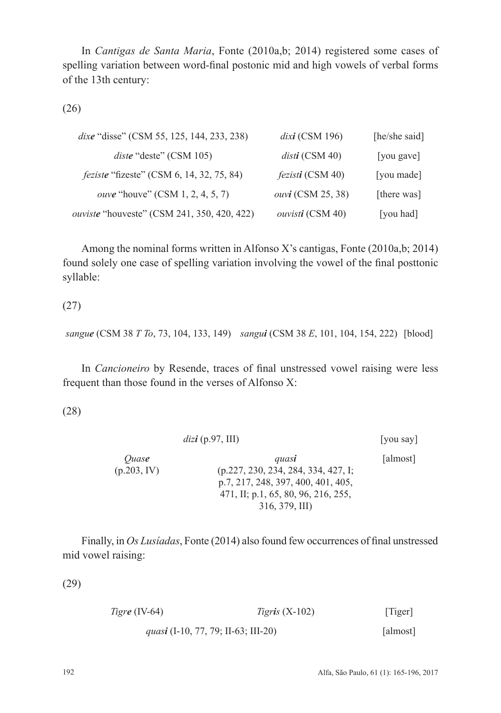In *Cantigas de Santa Maria*, Fonte (2010a,b; 2014) registered some cases of spelling variation between word-final postonic mid and high vowels of verbal forms of the 13th century:

(26)

| <i>dixe</i> "disse" (CSM 55, 125, 144, 233, 238)   | dixi (CSM 196)           | [he/she said] |
|----------------------------------------------------|--------------------------|---------------|
| diste "deste" (CSM 105)                            | $disti$ (CSM 40)         | [you gave]    |
| <i>feziste</i> "fizeste" (CSM 6, 14, 32, 75, 84)   | <i>fezisti</i> (CSM 40)  | [you made]    |
| <i>ouve</i> "houve" (CSM 1, 2, 4, 5, 7)            | <i>ouvi</i> (CSM 25, 38) | [there was]   |
| <i>ouviste</i> "houveste" (CSM 241, 350, 420, 422) | <i>ouvisti</i> (CSM 40)  | [you had]     |

Among the nominal forms written in Alfonso X's cantigas, Fonte (2010a,b; 2014) found solely one case of spelling variation involving the vowel of the final posttonic syllable:

(27)

*sangue* (CSM 38 *T To*, 73, 104, 133, 149) *sangui* (CSM 38 *E*, 101, 104, 154, 222) [blood]

In *Cancioneiro* by Resende, traces of final unstressed vowel raising were less frequent than those found in the verses of Alfonso X:

(28)

| $dizi$ (p.97, III)   |                                                                                    | [you say] |
|----------------------|------------------------------------------------------------------------------------|-----------|
| Ouase<br>(p.203, IV) | quasi<br>(p.227, 230, 234, 284, 334, 427, 1;<br>p.7, 217, 248, 397, 400, 401, 405, | [almost]  |
|                      | 471, II; p.1, 65, 80, 96, 216, 255,<br>$316, 379, \text{III}$                      |           |

Finally, in *Os Lusíadas*, Fonte (2014) also found few occurrences of final unstressed mid vowel raising:

(29)

| <i>Tigre</i> (IV-64) | <i>Tigris</i> $(X-102)$                    | Tiger    |
|----------------------|--------------------------------------------|----------|
|                      | <i>quasi</i> (I-10, 77, 79; II-63; III-20) | [almost] |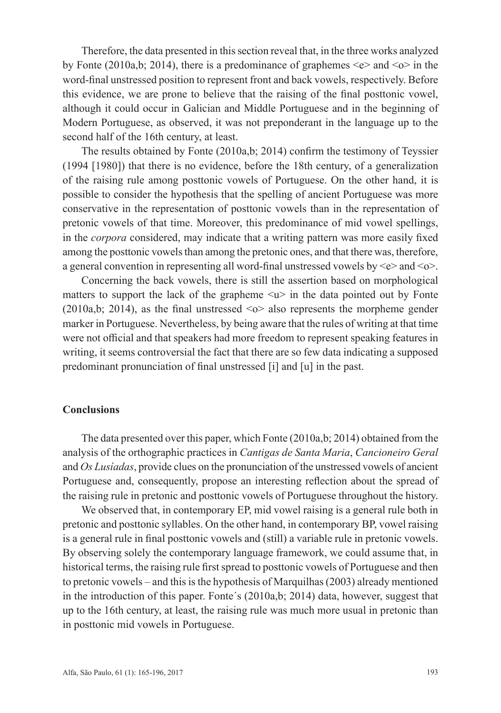Therefore, the data presented in this section reveal that, in the three works analyzed by Fonte (2010a,b; 2014), there is a predominance of graphemes  $\leq e$  and  $\leq o$  in the word-final unstressed position to represent front and back vowels, respectively. Before this evidence, we are prone to believe that the raising of the final posttonic vowel, although it could occur in Galician and Middle Portuguese and in the beginning of Modern Portuguese, as observed, it was not preponderant in the language up to the second half of the 16th century, at least.

The results obtained by Fonte (2010a,b; 2014) confirm the testimony of Teyssier (1994 [1980]) that there is no evidence, before the 18th century, of a generalization of the raising rule among posttonic vowels of Portuguese. On the other hand, it is possible to consider the hypothesis that the spelling of ancient Portuguese was more conservative in the representation of posttonic vowels than in the representation of pretonic vowels of that time. Moreover, this predominance of mid vowel spellings, in the *corpora* considered, may indicate that a writing pattern was more easily fixed among the posttonic vowels than among the pretonic ones, and that there was, therefore, a general convention in representing all word-final unstressed vowels by  $\langle e \rangle$  and  $\langle \circ \rangle$ .

Concerning the back vowels, there is still the assertion based on morphological matters to support the lack of the grapheme  $\langle u \rangle$  in the data pointed out by Fonte (2010a,b; 2014), as the final unstressed  $\leq o$  also represents the morpheme gender marker in Portuguese. Nevertheless, by being aware that the rules of writing at that time were not official and that speakers had more freedom to represent speaking features in writing, it seems controversial the fact that there are so few data indicating a supposed predominant pronunciation of final unstressed [i] and [u] in the past.

## **Conclusions**

The data presented over this paper, which Fonte (2010a,b; 2014) obtained from the analysis of the orthographic practices in *Cantigas de Santa Maria*, *Cancioneiro Geral*  and *Os Lusíadas*, provide clues on the pronunciation of the unstressed vowels of ancient Portuguese and, consequently, propose an interesting reflection about the spread of the raising rule in pretonic and posttonic vowels of Portuguese throughout the history.

We observed that, in contemporary EP, mid vowel raising is a general rule both in pretonic and posttonic syllables. On the other hand, in contemporary BP, vowel raising is a general rule in final posttonic vowels and (still) a variable rule in pretonic vowels. By observing solely the contemporary language framework, we could assume that, in historical terms, the raising rule first spread to posttonic vowels of Portuguese and then to pretonic vowels – and this is the hypothesis of Marquilhas (2003) already mentioned in the introduction of this paper. Fonte´s (2010a,b; 2014) data, however, suggest that up to the 16th century, at least, the raising rule was much more usual in pretonic than in posttonic mid vowels in Portuguese.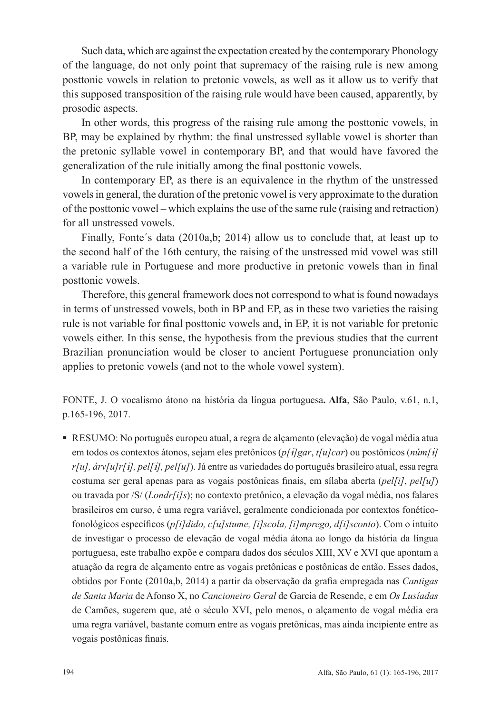Such data, which are against the expectation created by the contemporary Phonology of the language, do not only point that supremacy of the raising rule is new among posttonic vowels in relation to pretonic vowels, as well as it allow us to verify that this supposed transposition of the raising rule would have been caused, apparently, by prosodic aspects.

In other words, this progress of the raising rule among the posttonic vowels, in BP, may be explained by rhythm: the final unstressed syllable vowel is shorter than the pretonic syllable vowel in contemporary BP, and that would have favored the generalization of the rule initially among the final posttonic vowels.

In contemporary EP, as there is an equivalence in the rhythm of the unstressed vowels in general, the duration of the pretonic vowel is very approximate to the duration of the posttonic vowel – which explains the use of the same rule (raising and retraction) for all unstressed vowels.

Finally, Fonte´s data (2010a,b; 2014) allow us to conclude that, at least up to the second half of the 16th century, the raising of the unstressed mid vowel was still a variable rule in Portuguese and more productive in pretonic vowels than in final posttonic vowels.

Therefore, this general framework does not correspond to what is found nowadays in terms of unstressed vowels, both in BP and EP, as in these two varieties the raising rule is not variable for final posttonic vowels and, in EP, it is not variable for pretonic vowels either. In this sense, the hypothesis from the previous studies that the current Brazilian pronunciation would be closer to ancient Portuguese pronunciation only applies to pretonic vowels (and not to the whole vowel system).

FONTE, J. O vocalismo átono na história da língua portuguesa**. Alfa**, São Paulo, v.61, n.1, p.165-196, 2017.

■ RESUMO: No português europeu atual, a regra de alçamento (elevação) de vogal média atua em todos os contextos átonos, sejam eles pretônicos (*p[]gar*, *t[u]car*) ou postônicos (*núm[] r[u], árv[u]r[], pel[], pel[u]*). Já entre as variedades do português brasileiro atual, essa regra costuma ser geral apenas para as vogais postônicas finais, em sílaba aberta (*pel[i]*, *pel[u]*) ou travada por /S/ (*Londr[i]s*); no contexto pretônico, a elevação da vogal média, nos falares brasileiros em curso, é uma regra variável, geralmente condicionada por contextos fonéticofonológicos específicos (*p[i]dido, c[u]stume, [i]scola, [i]mprego, d[i]sconto*). Com o intuito de investigar o processo de elevação de vogal média átona ao longo da história da língua portuguesa, este trabalho expõe e compara dados dos séculos XIII, XV e XVI que apontam a atuação da regra de alçamento entre as vogais pretônicas e postônicas de então. Esses dados, obtidos por Fonte (2010a,b, 2014) a partir da observação da grafia empregada nas *Cantigas de Santa Maria* de Afonso X, no *Cancioneiro Geral* de Garcia de Resende, e em *Os Lusíadas* de Camões, sugerem que, até o século XVI, pelo menos, o alçamento de vogal média era uma regra variável, bastante comum entre as vogais pretônicas, mas ainda incipiente entre as vogais postônicas finais.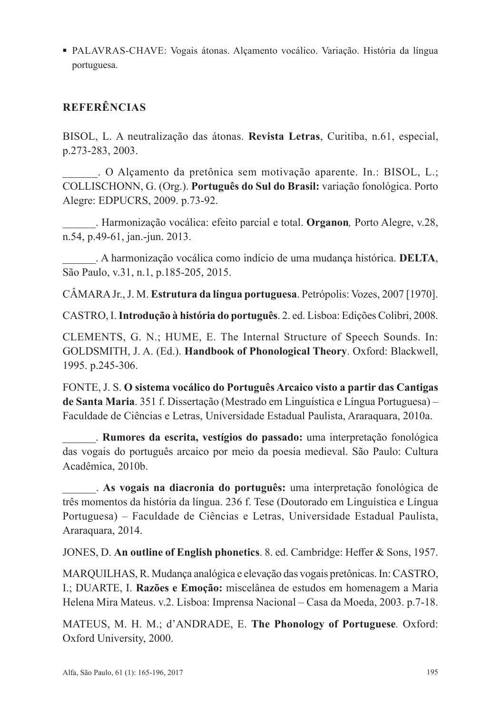■ PALAVRAS-CHAVE: Vogais átonas. Alçamento vocálico. Variação. História da língua portuguesa.

# **REFERÊNCIAS**

BISOL, L. A neutralização das átonas. **Revista Letras**, Curitiba, n.61, especial, p.273-283, 2003.

\_\_\_\_\_\_. O Alçamento da pretônica sem motivação aparente. In.: BISOL, L.; COLLISCHONN, G. (Org.). **Português do Sul do Brasil:** variação fonológica. Porto Alegre: EDPUCRS, 2009. p.73-92.

\_\_\_\_\_\_. Harmonização vocálica: efeito parcial e total. **Organon***,* Porto Alegre, v.28, n.54, p.49-61, jan.-jun. 2013.

\_\_\_\_\_\_. A harmonização vocálica como indício de uma mudança histórica. **DELTA**, São Paulo, v.31, n.1, p.185-205, 2015.

CÂMARA Jr., J. M. **Estrutura da língua portuguesa**. Petrópolis: Vozes, 2007 [1970].

CASTRO, I. **Introdução à história do português**. 2. ed. Lisboa: Edições Colibri, 2008.

CLEMENTS, G. N.; HUME, E. The Internal Structure of Speech Sounds. In: GOLDSMITH, J. A. (Ed.). **Handbook of Phonological Theory**. Oxford: Blackwell, 1995. p.245-306.

FONTE, J. S. **O sistema vocálico do Português Arcaico visto a partir das Cantigas de Santa Maria**. 351 f. Dissertação (Mestrado em Linguística e Língua Portuguesa) – Faculdade de Ciências e Letras, Universidade Estadual Paulista, Araraquara, 2010a.

\_\_\_\_\_\_. **Rumores da escrita, vestígios do passado:** uma interpretação fonológica das vogais do português arcaico por meio da poesia medieval. São Paulo: Cultura Acadêmica, 2010b.

\_\_\_\_\_\_. **As vogais na diacronia do português:** uma interpretação fonológica de três momentos da história da língua. 236 f. Tese (Doutorado em Linguística e Língua Portuguesa) – Faculdade de Ciências e Letras, Universidade Estadual Paulista, Araraquara, 2014.

JONES, D. **An outline of English phonetics**. 8. ed. Cambridge: Heffer & Sons, 1957.

MARQUILHAS, R. Mudança analógica e elevação das vogais pretônicas. In: CASTRO, I.; DUARTE, I. **Razões e Emoção:** miscelânea de estudos em homenagem a Maria Helena Mira Mateus. v.2. Lisboa: Imprensa Nacional – Casa da Moeda, 2003. p.7-18.

MATEUS, M. H. M.; d'ANDRADE, E. **The Phonology of Portuguese***.* Oxford: Oxford University, 2000.